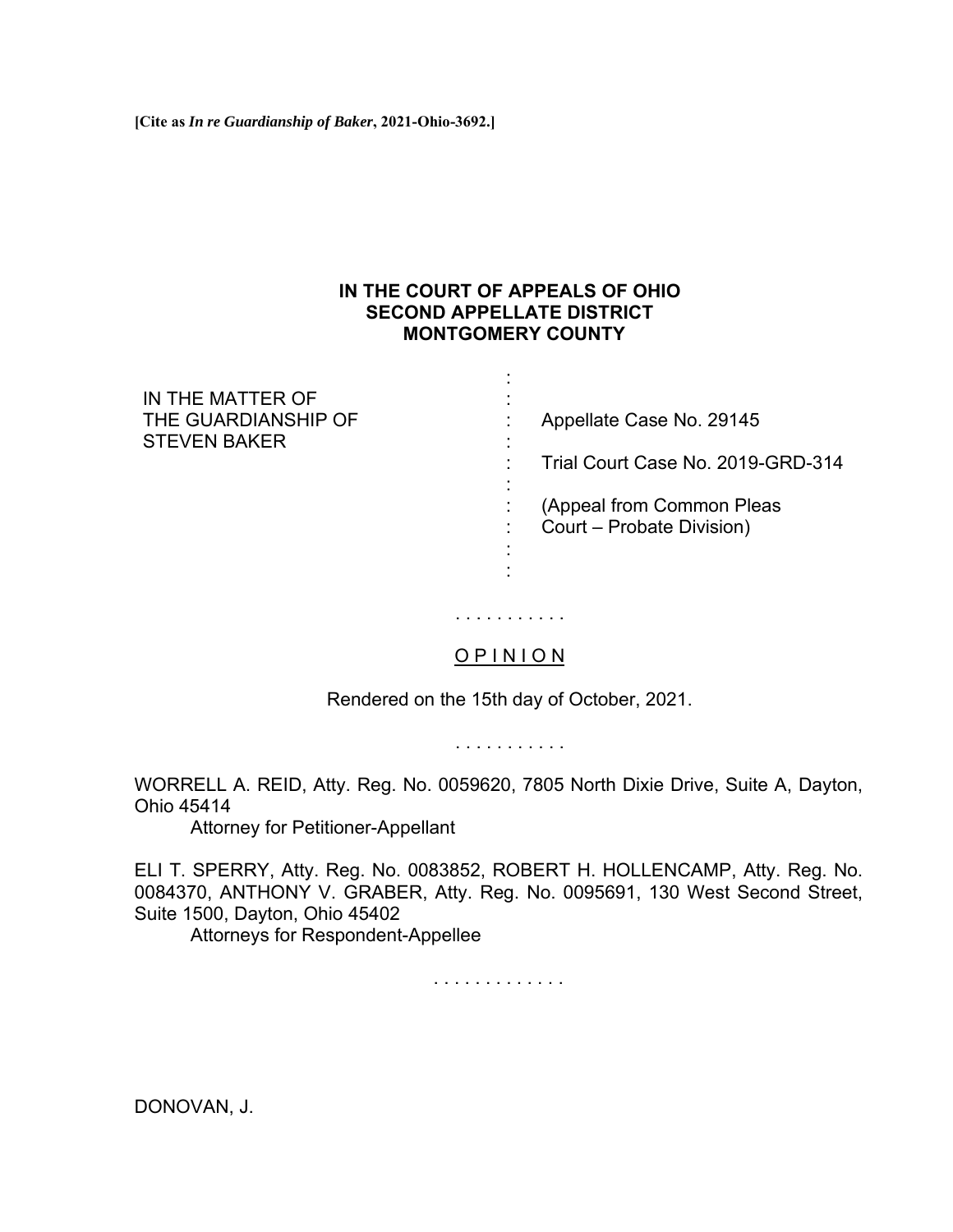**[Cite as** *In re Guardianship of Baker***, 2021-Ohio-3692.]**

## **IN THE COURT OF APPEALS OF OHIO SECOND APPELLATE DISTRICT MONTGOMERY COUNTY**

:

| IN THE MATTER OF                           |                                   |
|--------------------------------------------|-----------------------------------|
| THE GUARDIANSHIP OF<br><b>STEVEN BAKER</b> | Appellate Case No. 29145          |
|                                            |                                   |
|                                            | Trial Court Case No. 2019-GRD-314 |
|                                            |                                   |
|                                            | (Appeal from Common Pleas         |
|                                            | Court – Probate Division)         |
|                                            |                                   |
|                                            |                                   |

O P I N I O N

. . . . . . . . . . .

Rendered on the 15th day of October, 2021.

. . . . . . . . . . .

WORRELL A. REID, Atty. Reg. No. 0059620, 7805 North Dixie Drive, Suite A, Dayton, Ohio 45414

Attorney for Petitioner-Appellant

ELI T. SPERRY, Atty. Reg. No. 0083852, ROBERT H. HOLLENCAMP, Atty. Reg. No. 0084370, ANTHONY V. GRABER, Atty. Reg. No. 0095691, 130 West Second Street, Suite 1500, Dayton, Ohio 45402

Attorneys for Respondent-Appellee

. . . . . . . . . . . . .

DONOVAN, J.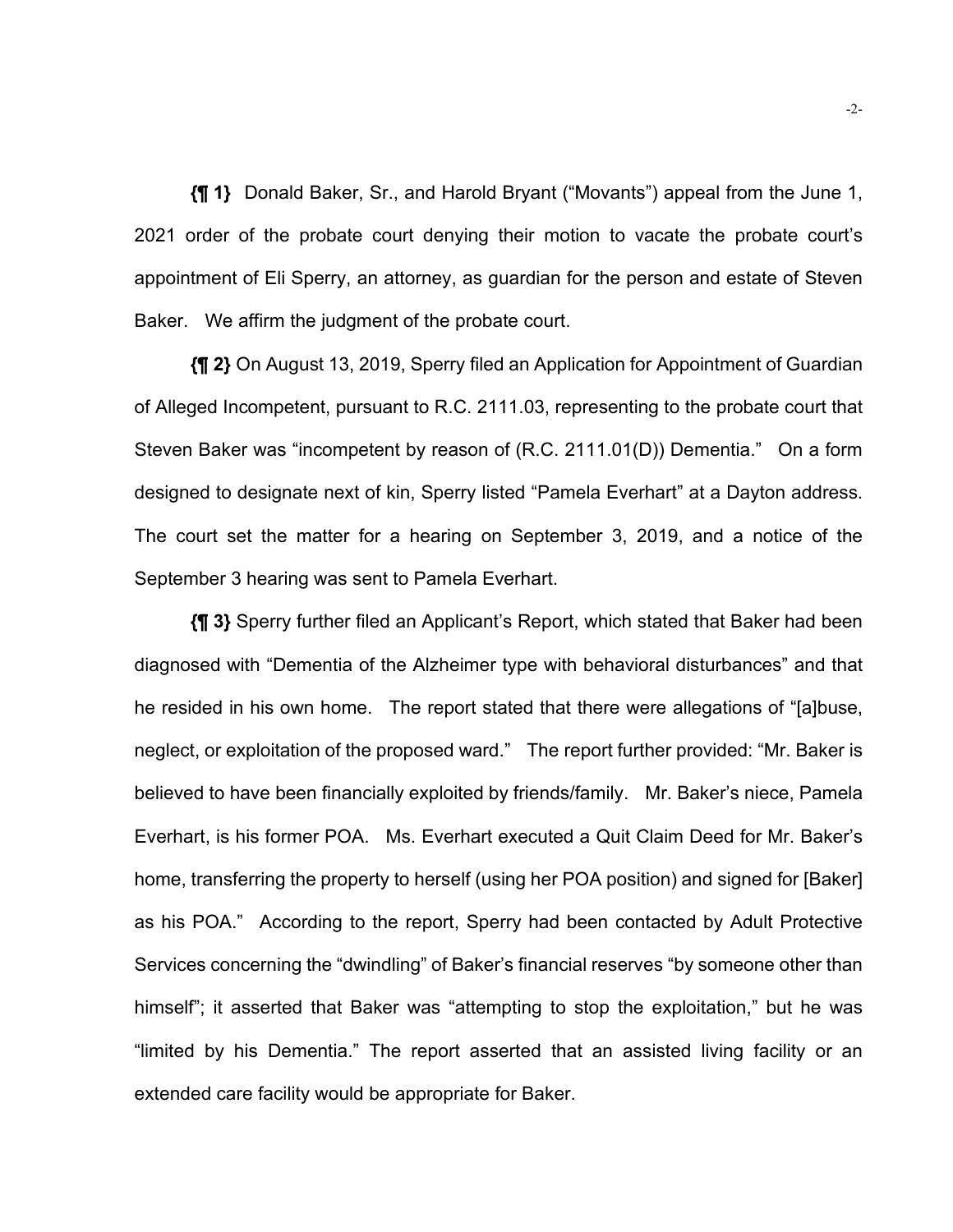**{¶ 1}** Donald Baker, Sr., and Harold Bryant ("Movants") appeal from the June 1, 2021 order of the probate court denying their motion to vacate the probate court's appointment of Eli Sperry, an attorney, as guardian for the person and estate of Steven Baker. We affirm the judgment of the probate court.

**{¶ 2}** On August 13, 2019, Sperry filed an Application for Appointment of Guardian of Alleged Incompetent, pursuant to R.C. 2111.03, representing to the probate court that Steven Baker was "incompetent by reason of (R.C. 2111.01(D)) Dementia." On a form designed to designate next of kin, Sperry listed "Pamela Everhart" at a Dayton address. The court set the matter for a hearing on September 3, 2019, and a notice of the September 3 hearing was sent to Pamela Everhart.

**{¶ 3}** Sperry further filed an Applicant's Report, which stated that Baker had been diagnosed with "Dementia of the Alzheimer type with behavioral disturbances" and that he resided in his own home. The report stated that there were allegations of "[a]buse, neglect, or exploitation of the proposed ward." The report further provided: "Mr. Baker is believed to have been financially exploited by friends/family. Mr. Baker's niece, Pamela Everhart, is his former POA. Ms. Everhart executed a Quit Claim Deed for Mr. Baker's home, transferring the property to herself (using her POA position) and signed for [Baker] as his POA." According to the report, Sperry had been contacted by Adult Protective Services concerning the "dwindling" of Baker's financial reserves "by someone other than himself"; it asserted that Baker was "attempting to stop the exploitation," but he was "limited by his Dementia." The report asserted that an assisted living facility or an extended care facility would be appropriate for Baker.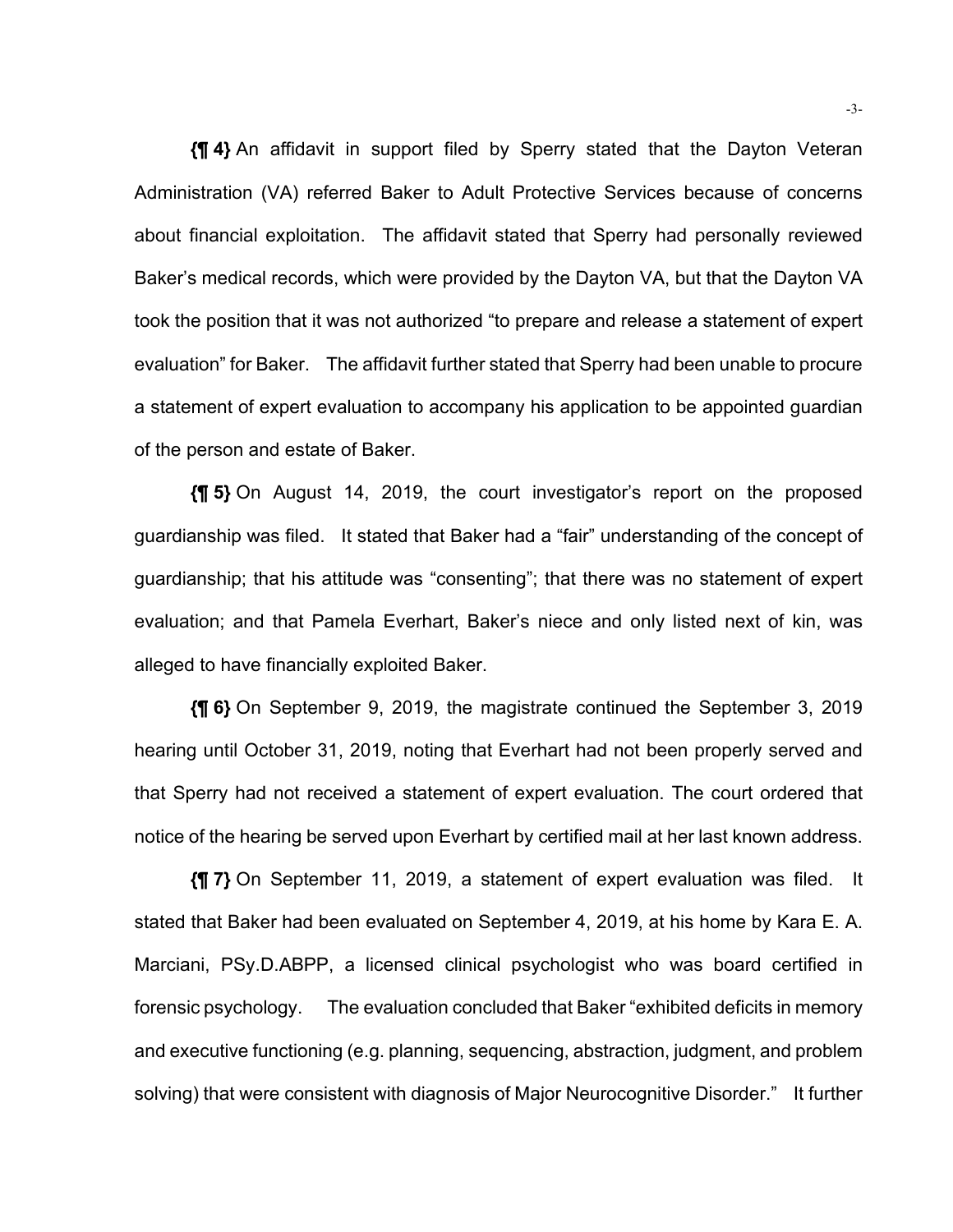**{¶ 4}** An affidavit in support filed by Sperry stated that the Dayton Veteran Administration (VA) referred Baker to Adult Protective Services because of concerns about financial exploitation. The affidavit stated that Sperry had personally reviewed Baker's medical records, which were provided by the Dayton VA, but that the Dayton VA took the position that it was not authorized "to prepare and release a statement of expert evaluation" for Baker. The affidavit further stated that Sperry had been unable to procure a statement of expert evaluation to accompany his application to be appointed guardian of the person and estate of Baker.

**{¶ 5}** On August 14, 2019, the court investigator's report on the proposed guardianship was filed. It stated that Baker had a "fair" understanding of the concept of guardianship; that his attitude was "consenting"; that there was no statement of expert evaluation; and that Pamela Everhart, Baker's niece and only listed next of kin, was alleged to have financially exploited Baker.

**{¶ 6}** On September 9, 2019, the magistrate continued the September 3, 2019 hearing until October 31, 2019, noting that Everhart had not been properly served and that Sperry had not received a statement of expert evaluation. The court ordered that notice of the hearing be served upon Everhart by certified mail at her last known address.

**{¶ 7}** On September 11, 2019, a statement of expert evaluation was filed. It stated that Baker had been evaluated on September 4, 2019, at his home by Kara E. A. Marciani, PSy.D.ABPP, a licensed clinical psychologist who was board certified in forensic psychology. The evaluation concluded that Baker "exhibited deficits in memory and executive functioning (e.g. planning, sequencing, abstraction, judgment, and problem solving) that were consistent with diagnosis of Major Neurocognitive Disorder." It further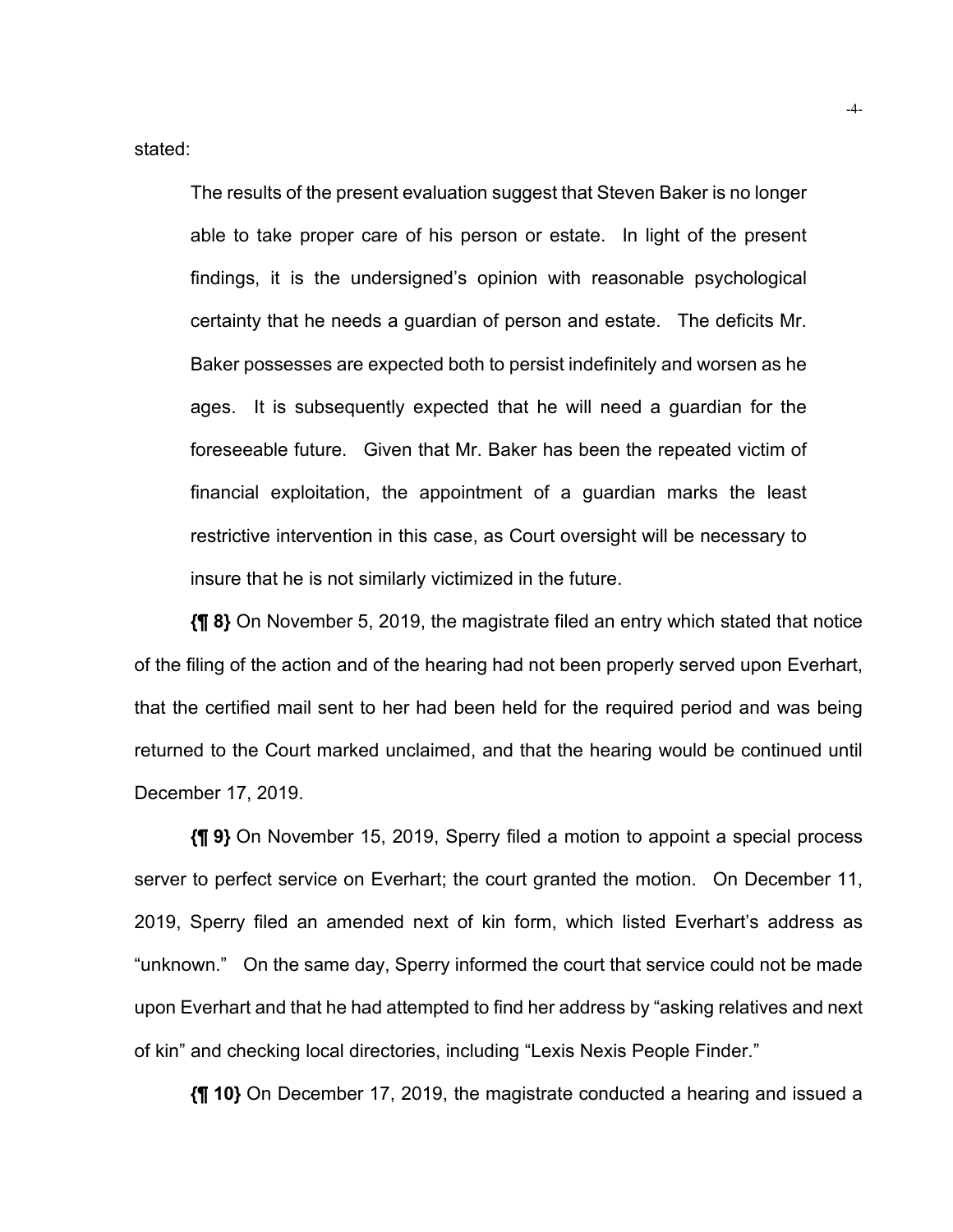stated:

The results of the present evaluation suggest that Steven Baker is no longer able to take proper care of his person or estate. In light of the present findings, it is the undersigned's opinion with reasonable psychological certainty that he needs a guardian of person and estate. The deficits Mr. Baker possesses are expected both to persist indefinitely and worsen as he ages. It is subsequently expected that he will need a guardian for the foreseeable future. Given that Mr. Baker has been the repeated victim of financial exploitation, the appointment of a guardian marks the least restrictive intervention in this case, as Court oversight will be necessary to insure that he is not similarly victimized in the future.

**{¶ 8}** On November 5, 2019, the magistrate filed an entry which stated that notice of the filing of the action and of the hearing had not been properly served upon Everhart, that the certified mail sent to her had been held for the required period and was being returned to the Court marked unclaimed, and that the hearing would be continued until December 17, 2019.

**{¶ 9}** On November 15, 2019, Sperry filed a motion to appoint a special process server to perfect service on Everhart; the court granted the motion. On December 11, 2019, Sperry filed an amended next of kin form, which listed Everhart's address as "unknown." On the same day, Sperry informed the court that service could not be made upon Everhart and that he had attempted to find her address by "asking relatives and next of kin" and checking local directories, including "Lexis Nexis People Finder."

**{¶ 10}** On December 17, 2019, the magistrate conducted a hearing and issued a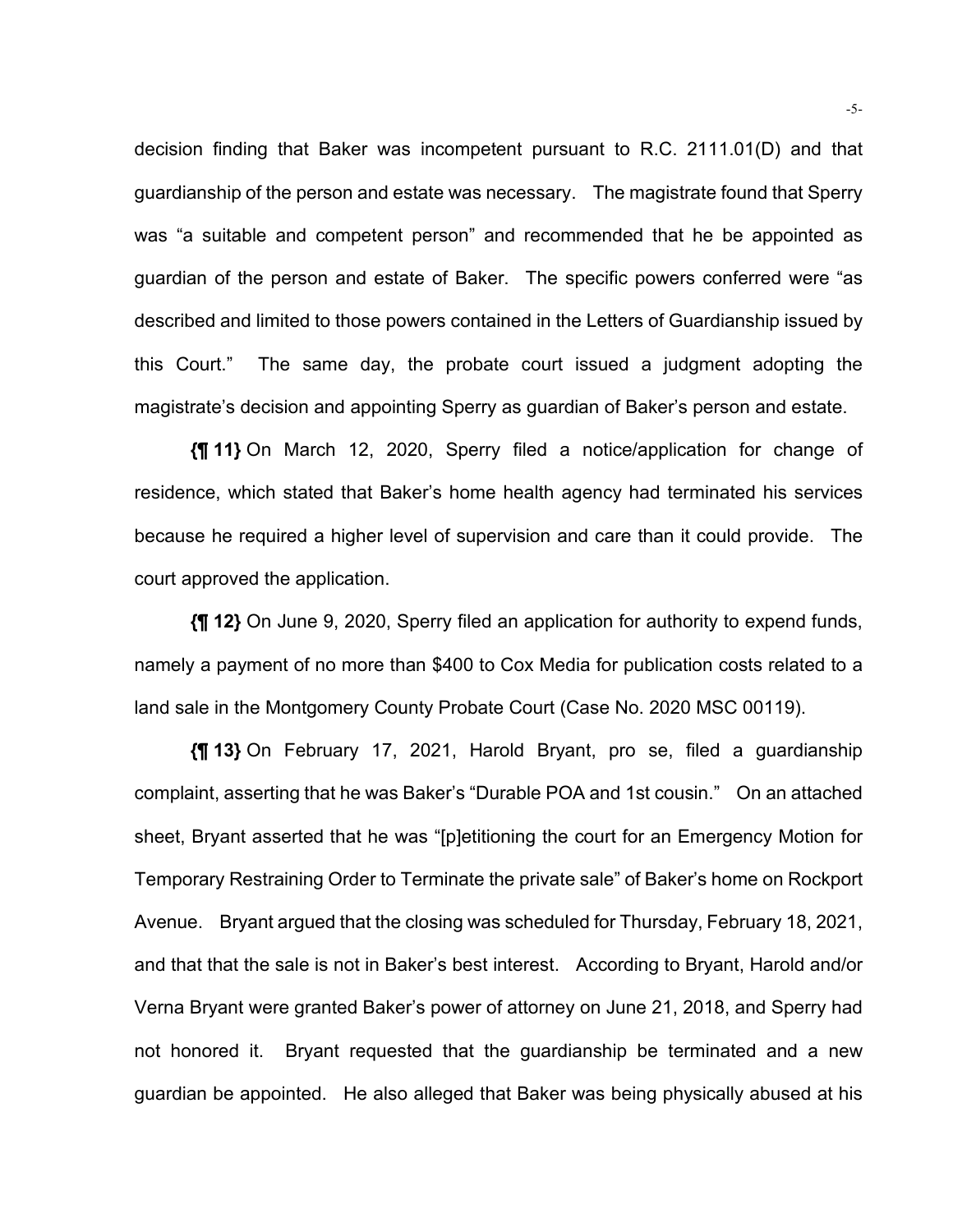decision finding that Baker was incompetent pursuant to R.C. 2111.01(D) and that guardianship of the person and estate was necessary. The magistrate found that Sperry was "a suitable and competent person" and recommended that he be appointed as guardian of the person and estate of Baker. The specific powers conferred were "as described and limited to those powers contained in the Letters of Guardianship issued by this Court." The same day, the probate court issued a judgment adopting the magistrate's decision and appointing Sperry as guardian of Baker's person and estate.

**{¶ 11}** On March 12, 2020, Sperry filed a notice/application for change of residence, which stated that Baker's home health agency had terminated his services because he required a higher level of supervision and care than it could provide. The court approved the application.

**{¶ 12}** On June 9, 2020, Sperry filed an application for authority to expend funds, namely a payment of no more than \$400 to Cox Media for publication costs related to a land sale in the Montgomery County Probate Court (Case No. 2020 MSC 00119).

**{¶ 13}** On February 17, 2021, Harold Bryant, pro se, filed a guardianship complaint, asserting that he was Baker's "Durable POA and 1st cousin." On an attached sheet, Bryant asserted that he was "[p]etitioning the court for an Emergency Motion for Temporary Restraining Order to Terminate the private sale" of Baker's home on Rockport Avenue. Bryant argued that the closing was scheduled for Thursday, February 18, 2021, and that that the sale is not in Baker's best interest. According to Bryant, Harold and/or Verna Bryant were granted Baker's power of attorney on June 21, 2018, and Sperry had not honored it. Bryant requested that the guardianship be terminated and a new guardian be appointed. He also alleged that Baker was being physically abused at his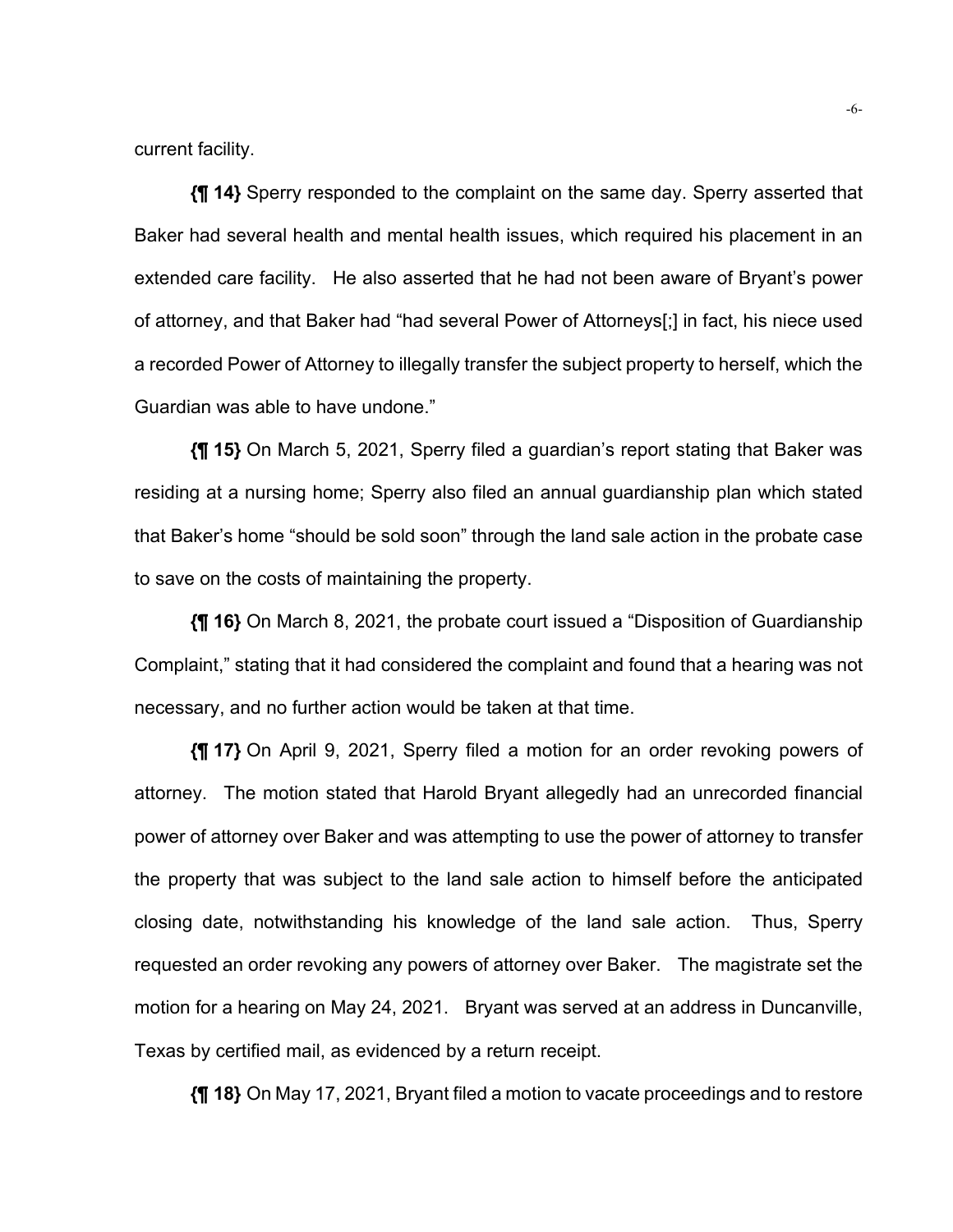current facility.

**{¶ 14}** Sperry responded to the complaint on the same day. Sperry asserted that Baker had several health and mental health issues, which required his placement in an extended care facility. He also asserted that he had not been aware of Bryant's power of attorney, and that Baker had "had several Power of Attorneys[;] in fact, his niece used a recorded Power of Attorney to illegally transfer the subject property to herself, which the Guardian was able to have undone."

**{¶ 15}** On March 5, 2021, Sperry filed a guardian's report stating that Baker was residing at a nursing home; Sperry also filed an annual guardianship plan which stated that Baker's home "should be sold soon" through the land sale action in the probate case to save on the costs of maintaining the property.

**{¶ 16}** On March 8, 2021, the probate court issued a "Disposition of Guardianship Complaint," stating that it had considered the complaint and found that a hearing was not necessary, and no further action would be taken at that time.

**{¶ 17}** On April 9, 2021, Sperry filed a motion for an order revoking powers of attorney. The motion stated that Harold Bryant allegedly had an unrecorded financial power of attorney over Baker and was attempting to use the power of attorney to transfer the property that was subject to the land sale action to himself before the anticipated closing date, notwithstanding his knowledge of the land sale action. Thus, Sperry requested an order revoking any powers of attorney over Baker. The magistrate set the motion for a hearing on May 24, 2021. Bryant was served at an address in Duncanville, Texas by certified mail, as evidenced by a return receipt.

**{¶ 18}** On May 17, 2021, Bryant filed a motion to vacate proceedings and to restore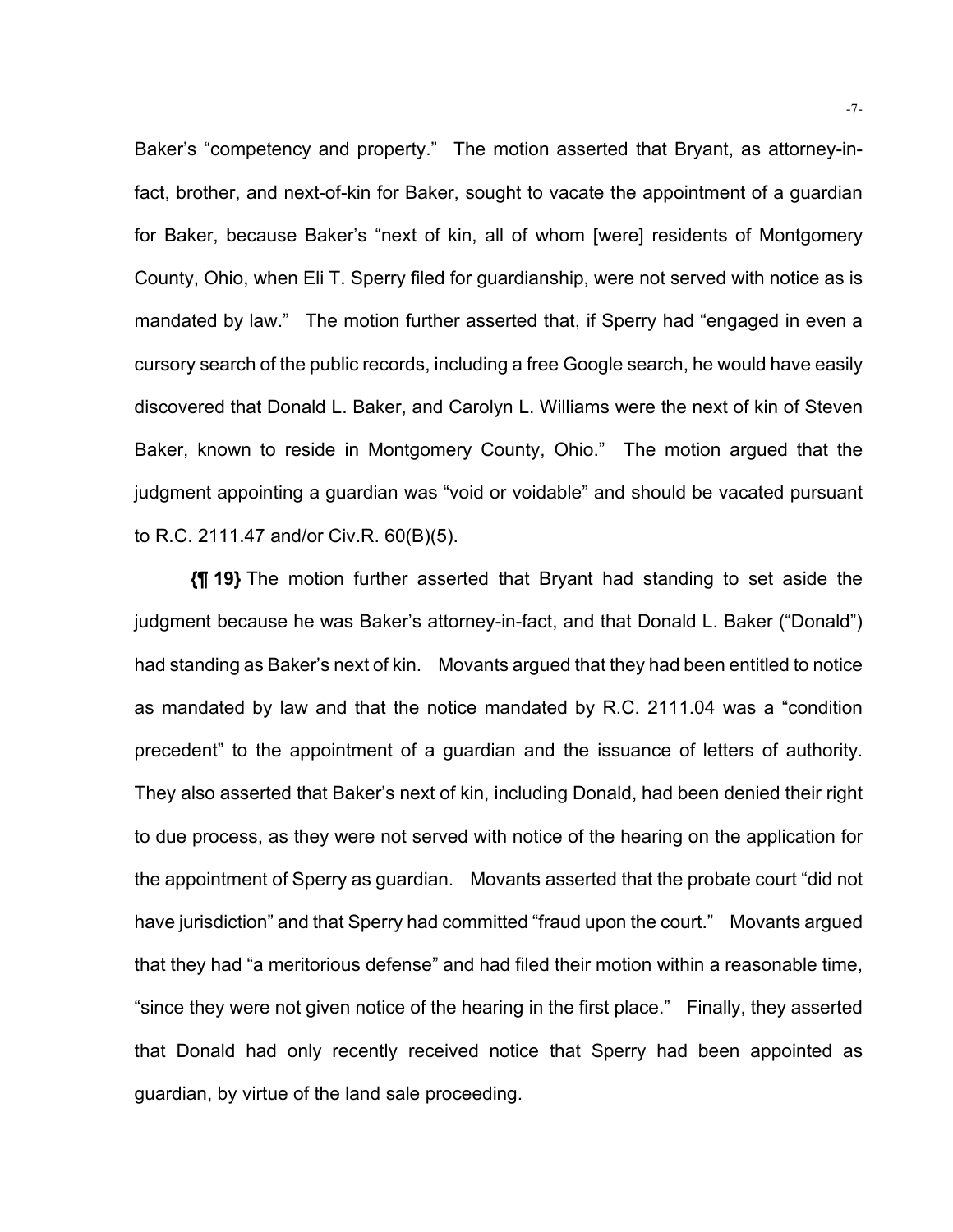Baker's "competency and property." The motion asserted that Bryant, as attorney-infact, brother, and next-of-kin for Baker, sought to vacate the appointment of a guardian for Baker, because Baker's "next of kin, all of whom [were] residents of Montgomery County, Ohio, when Eli T. Sperry filed for guardianship, were not served with notice as is mandated by law." The motion further asserted that, if Sperry had "engaged in even a cursory search of the public records, including a free Google search, he would have easily discovered that Donald L. Baker, and Carolyn L. Williams were the next of kin of Steven Baker, known to reside in Montgomery County, Ohio." The motion argued that the judgment appointing a guardian was "void or voidable" and should be vacated pursuant to R.C. 2111.47 and/or Civ.R. 60(B)(5).

**{¶ 19}** The motion further asserted that Bryant had standing to set aside the judgment because he was Baker's attorney-in-fact, and that Donald L. Baker ("Donald") had standing as Baker's next of kin. Movants argued that they had been entitled to notice as mandated by law and that the notice mandated by R.C. 2111.04 was a "condition precedent" to the appointment of a guardian and the issuance of letters of authority. They also asserted that Baker's next of kin, including Donald, had been denied their right to due process, as they were not served with notice of the hearing on the application for the appointment of Sperry as guardian. Movants asserted that the probate court "did not have jurisdiction" and that Sperry had committed "fraud upon the court." Movants argued that they had "a meritorious defense" and had filed their motion within a reasonable time, "since they were not given notice of the hearing in the first place." Finally, they asserted that Donald had only recently received notice that Sperry had been appointed as guardian, by virtue of the land sale proceeding.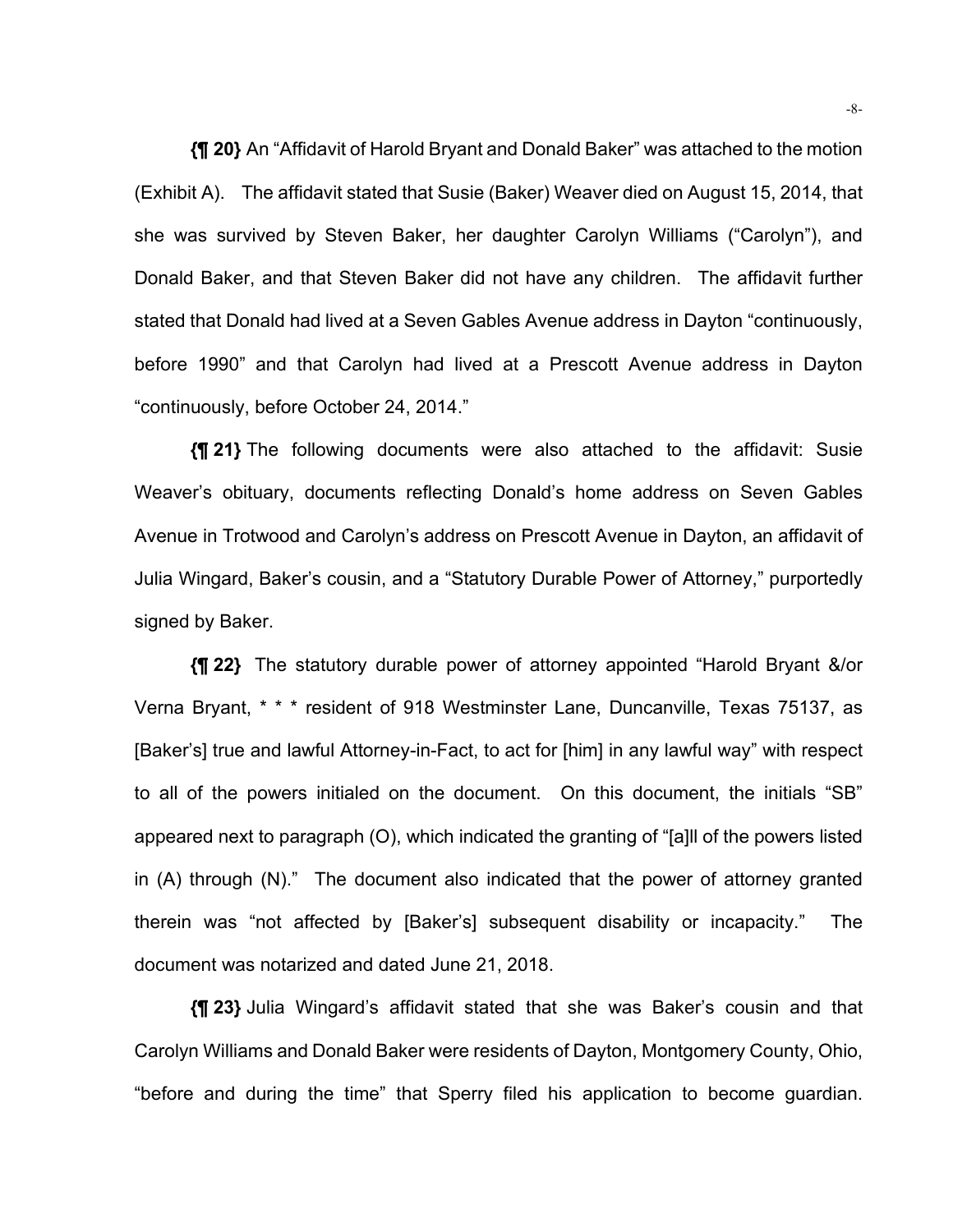**{¶ 20}** An "Affidavit of Harold Bryant and Donald Baker" was attached to the motion (Exhibit A). The affidavit stated that Susie (Baker) Weaver died on August 15, 2014, that she was survived by Steven Baker, her daughter Carolyn Williams ("Carolyn"), and Donald Baker, and that Steven Baker did not have any children. The affidavit further stated that Donald had lived at a Seven Gables Avenue address in Dayton "continuously, before 1990" and that Carolyn had lived at a Prescott Avenue address in Dayton "continuously, before October 24, 2014."

**{¶ 21}** The following documents were also attached to the affidavit: Susie Weaver's obituary, documents reflecting Donald's home address on Seven Gables Avenue in Trotwood and Carolyn's address on Prescott Avenue in Dayton, an affidavit of Julia Wingard, Baker's cousin, and a "Statutory Durable Power of Attorney," purportedly signed by Baker.

**{¶ 22}** The statutory durable power of attorney appointed "Harold Bryant &/or Verna Bryant, \* \* \* resident of 918 Westminster Lane, Duncanville, Texas 75137, as [Baker's] true and lawful Attorney-in-Fact, to act for [him] in any lawful way" with respect to all of the powers initialed on the document. On this document, the initials "SB" appeared next to paragraph (O), which indicated the granting of "[a]ll of the powers listed in (A) through (N)." The document also indicated that the power of attorney granted therein was "not affected by [Baker's] subsequent disability or incapacity." The document was notarized and dated June 21, 2018.

**{¶ 23}** Julia Wingard's affidavit stated that she was Baker's cousin and that Carolyn Williams and Donald Baker were residents of Dayton, Montgomery County, Ohio, "before and during the time" that Sperry filed his application to become guardian.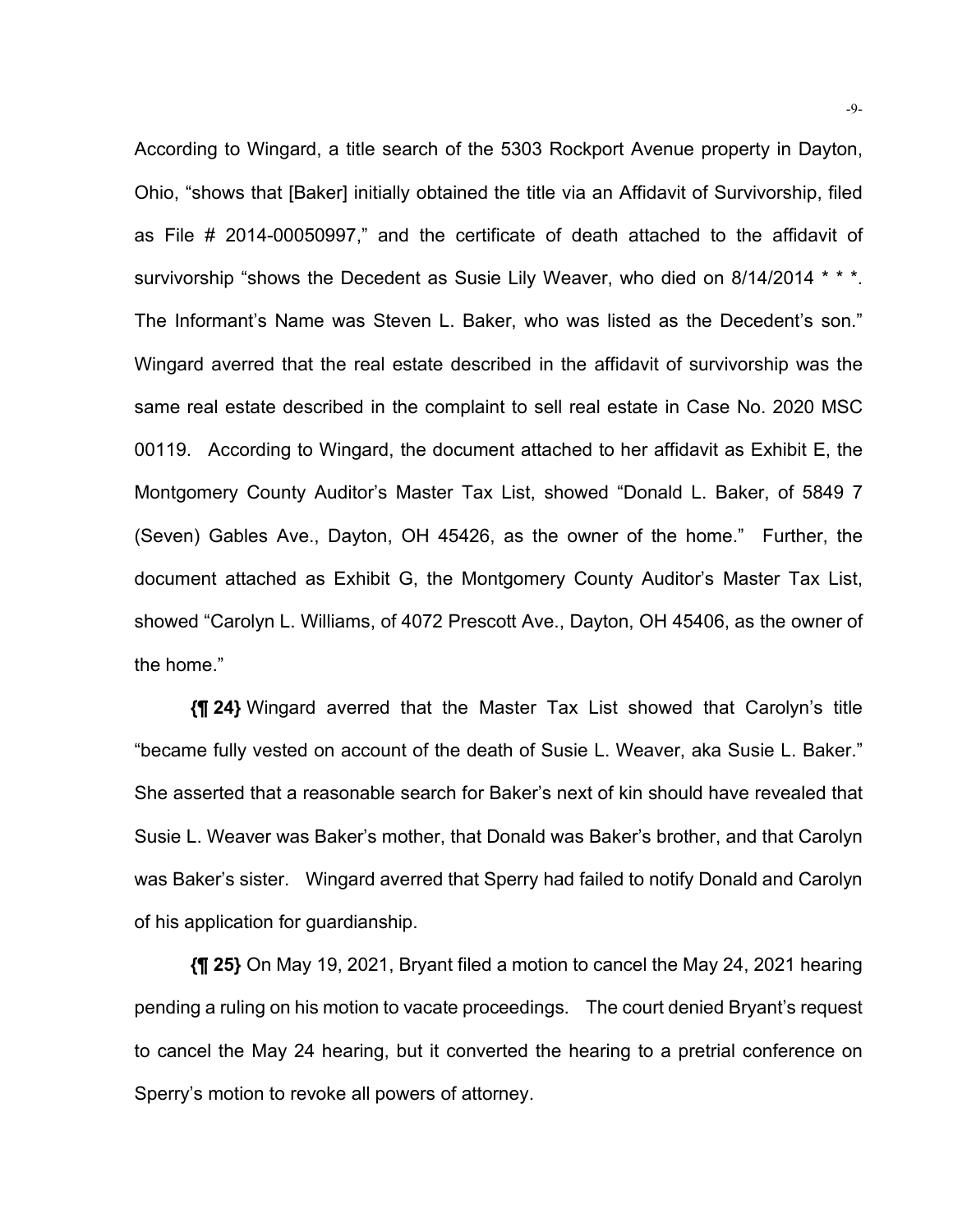According to Wingard, a title search of the 5303 Rockport Avenue property in Dayton, Ohio, "shows that [Baker] initially obtained the title via an Affidavit of Survivorship, filed as File # 2014-00050997," and the certificate of death attached to the affidavit of survivorship "shows the Decedent as Susie Lily Weaver, who died on 8/14/2014 \* \* \*. The Informant's Name was Steven L. Baker, who was listed as the Decedent's son." Wingard averred that the real estate described in the affidavit of survivorship was the same real estate described in the complaint to sell real estate in Case No. 2020 MSC 00119. According to Wingard, the document attached to her affidavit as Exhibit E, the Montgomery County Auditor's Master Tax List, showed "Donald L. Baker, of 5849 7 (Seven) Gables Ave., Dayton, OH 45426, as the owner of the home." Further, the document attached as Exhibit G, the Montgomery County Auditor's Master Tax List, showed "Carolyn L. Williams, of 4072 Prescott Ave., Dayton, OH 45406, as the owner of the home."

**{¶ 24}** Wingard averred that the Master Tax List showed that Carolyn's title "became fully vested on account of the death of Susie L. Weaver, aka Susie L. Baker." She asserted that a reasonable search for Baker's next of kin should have revealed that Susie L. Weaver was Baker's mother, that Donald was Baker's brother, and that Carolyn was Baker's sister. Wingard averred that Sperry had failed to notify Donald and Carolyn of his application for guardianship.

**{¶ 25}** On May 19, 2021, Bryant filed a motion to cancel the May 24, 2021 hearing pending a ruling on his motion to vacate proceedings. The court denied Bryant's request to cancel the May 24 hearing, but it converted the hearing to a pretrial conference on Sperry's motion to revoke all powers of attorney.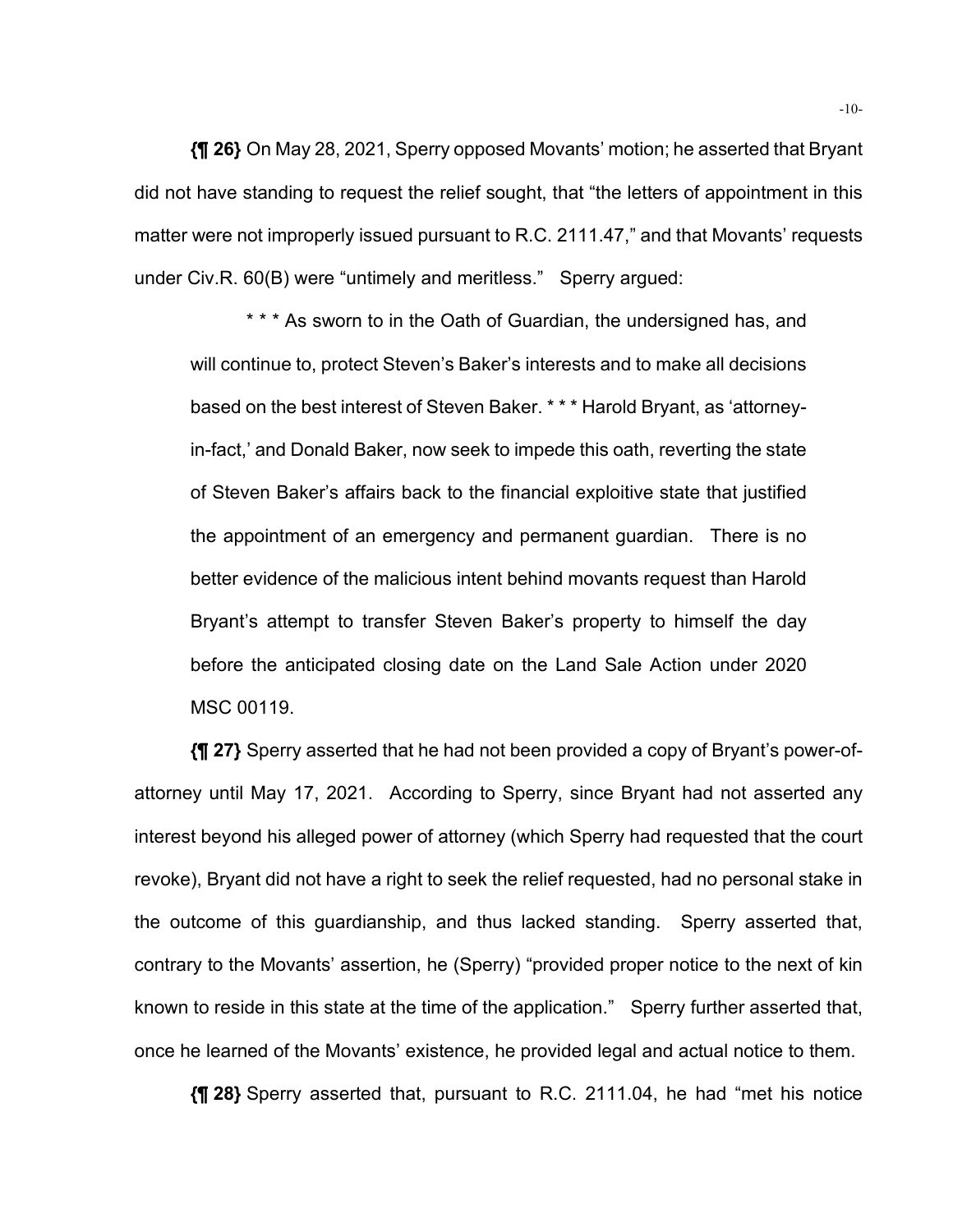**{¶ 26}** On May 28, 2021, Sperry opposed Movants' motion; he asserted that Bryant did not have standing to request the relief sought, that "the letters of appointment in this matter were not improperly issued pursuant to R.C. 2111.47," and that Movants' requests under Civ.R. 60(B) were "untimely and meritless." Sperry argued:

\* \* \* As sworn to in the Oath of Guardian, the undersigned has, and will continue to, protect Steven's Baker's interests and to make all decisions based on the best interest of Steven Baker. \* \* \* Harold Bryant, as 'attorneyin-fact,' and Donald Baker, now seek to impede this oath, reverting the state of Steven Baker's affairs back to the financial exploitive state that justified the appointment of an emergency and permanent guardian. There is no better evidence of the malicious intent behind movants request than Harold Bryant's attempt to transfer Steven Baker's property to himself the day before the anticipated closing date on the Land Sale Action under 2020 MSC 00119.

**{¶ 27}** Sperry asserted that he had not been provided a copy of Bryant's power-ofattorney until May 17, 2021. According to Sperry, since Bryant had not asserted any interest beyond his alleged power of attorney (which Sperry had requested that the court revoke), Bryant did not have a right to seek the relief requested, had no personal stake in the outcome of this guardianship, and thus lacked standing. Sperry asserted that, contrary to the Movants' assertion, he (Sperry) "provided proper notice to the next of kin known to reside in this state at the time of the application." Sperry further asserted that, once he learned of the Movants' existence, he provided legal and actual notice to them.

**{¶ 28}** Sperry asserted that, pursuant to R.C. 2111.04, he had "met his notice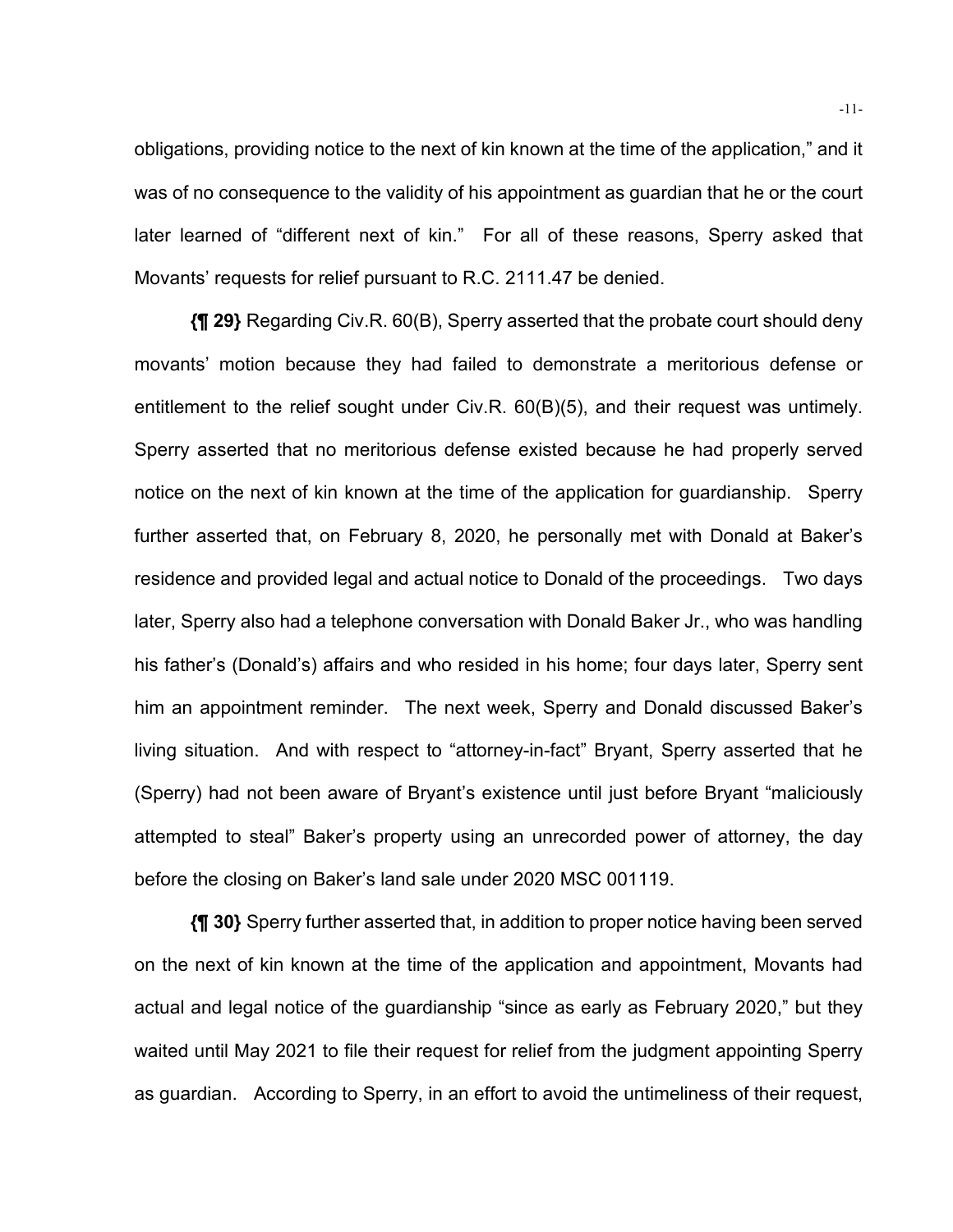obligations, providing notice to the next of kin known at the time of the application," and it was of no consequence to the validity of his appointment as guardian that he or the court later learned of "different next of kin." For all of these reasons, Sperry asked that Movants' requests for relief pursuant to R.C. 2111.47 be denied.

**{¶ 29}** Regarding Civ.R. 60(B), Sperry asserted that the probate court should deny movants' motion because they had failed to demonstrate a meritorious defense or entitlement to the relief sought under Civ.R. 60(B)(5), and their request was untimely. Sperry asserted that no meritorious defense existed because he had properly served notice on the next of kin known at the time of the application for guardianship. Sperry further asserted that, on February 8, 2020, he personally met with Donald at Baker's residence and provided legal and actual notice to Donald of the proceedings. Two days later, Sperry also had a telephone conversation with Donald Baker Jr., who was handling his father's (Donald's) affairs and who resided in his home; four days later, Sperry sent him an appointment reminder. The next week, Sperry and Donald discussed Baker's living situation. And with respect to "attorney-in-fact" Bryant, Sperry asserted that he (Sperry) had not been aware of Bryant's existence until just before Bryant "maliciously attempted to steal" Baker's property using an unrecorded power of attorney, the day before the closing on Baker's land sale under 2020 MSC 001119.

**{¶ 30}** Sperry further asserted that, in addition to proper notice having been served on the next of kin known at the time of the application and appointment, Movants had actual and legal notice of the guardianship "since as early as February 2020," but they waited until May 2021 to file their request for relief from the judgment appointing Sperry as guardian. According to Sperry, in an effort to avoid the untimeliness of their request,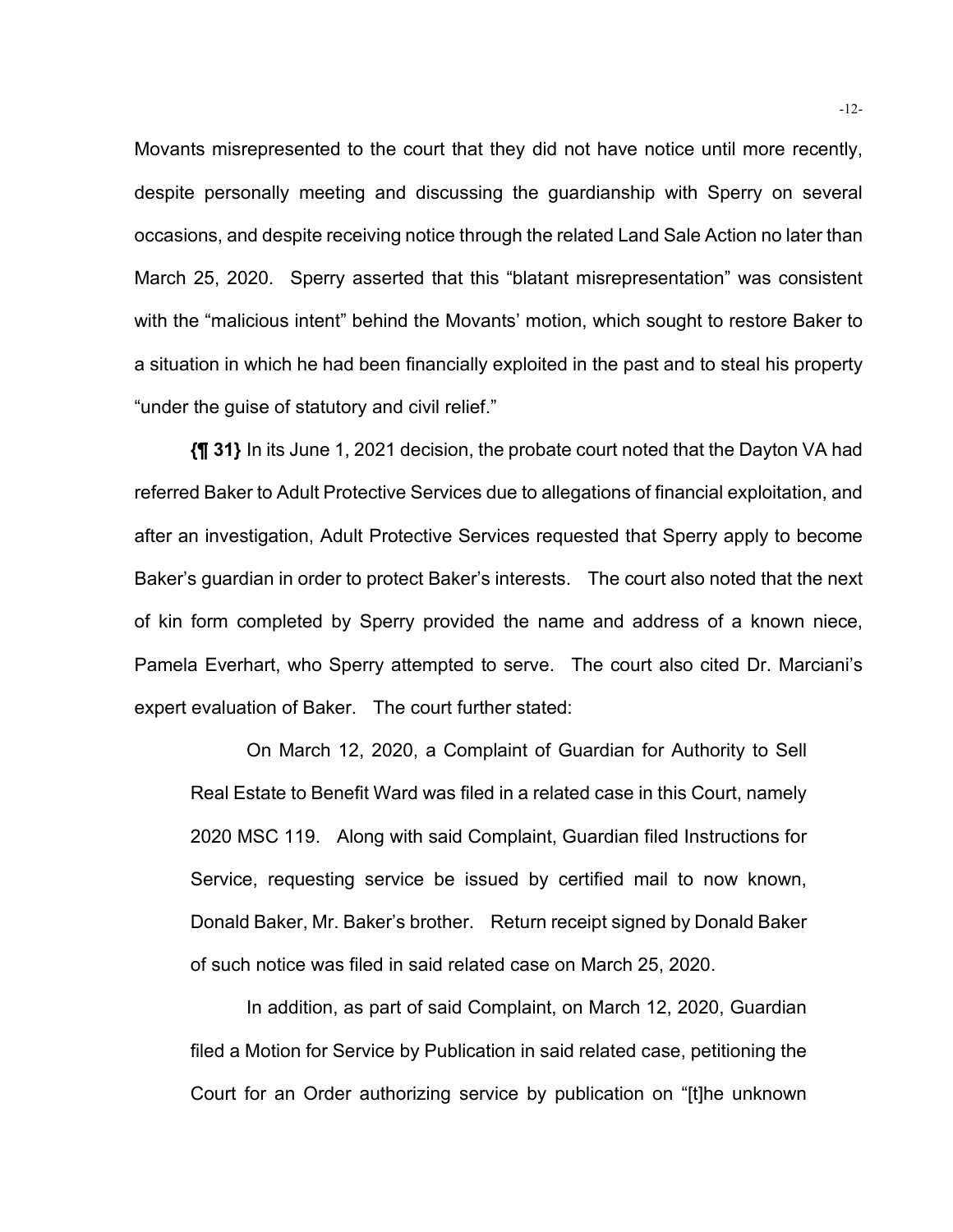Movants misrepresented to the court that they did not have notice until more recently, despite personally meeting and discussing the guardianship with Sperry on several occasions, and despite receiving notice through the related Land Sale Action no later than March 25, 2020. Sperry asserted that this "blatant misrepresentation" was consistent with the "malicious intent" behind the Movants' motion, which sought to restore Baker to a situation in which he had been financially exploited in the past and to steal his property "under the guise of statutory and civil relief."

**{¶ 31}** In its June 1, 2021 decision, the probate court noted that the Dayton VA had referred Baker to Adult Protective Services due to allegations of financial exploitation, and after an investigation, Adult Protective Services requested that Sperry apply to become Baker's guardian in order to protect Baker's interests. The court also noted that the next of kin form completed by Sperry provided the name and address of a known niece, Pamela Everhart, who Sperry attempted to serve. The court also cited Dr. Marciani's expert evaluation of Baker. The court further stated:

On March 12, 2020, a Complaint of Guardian for Authority to Sell Real Estate to Benefit Ward was filed in a related case in this Court, namely 2020 MSC 119. Along with said Complaint, Guardian filed Instructions for Service, requesting service be issued by certified mail to now known, Donald Baker, Mr. Baker's brother. Return receipt signed by Donald Baker of such notice was filed in said related case on March 25, 2020.

 In addition, as part of said Complaint, on March 12, 2020, Guardian filed a Motion for Service by Publication in said related case, petitioning the Court for an Order authorizing service by publication on "[t]he unknown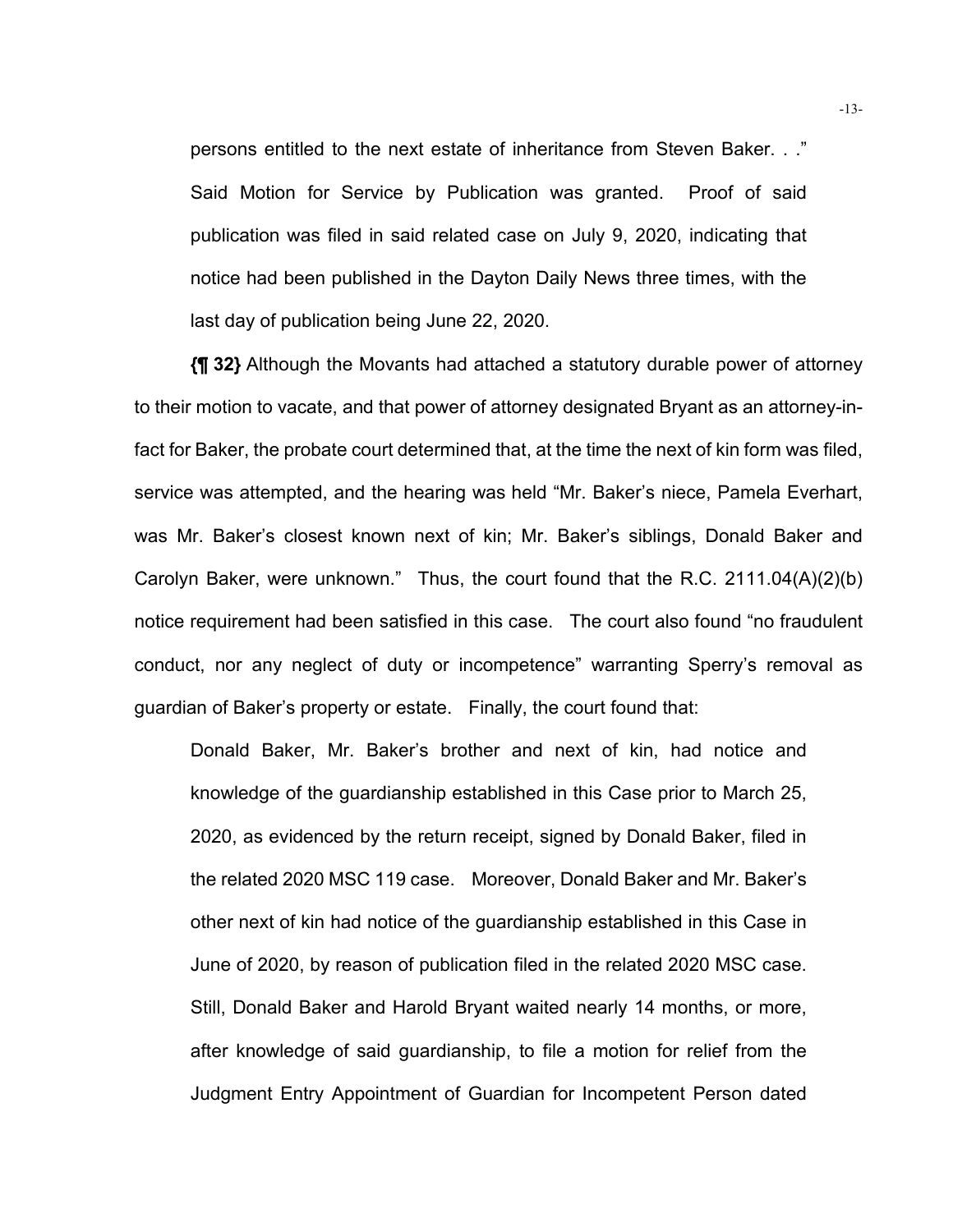persons entitled to the next estate of inheritance from Steven Baker. . ." Said Motion for Service by Publication was granted. Proof of said publication was filed in said related case on July 9, 2020, indicating that notice had been published in the Dayton Daily News three times, with the last day of publication being June 22, 2020.

**{¶ 32}** Although the Movants had attached a statutory durable power of attorney to their motion to vacate, and that power of attorney designated Bryant as an attorney-infact for Baker, the probate court determined that, at the time the next of kin form was filed, service was attempted, and the hearing was held "Mr. Baker's niece, Pamela Everhart, was Mr. Baker's closest known next of kin; Mr. Baker's siblings, Donald Baker and Carolyn Baker, were unknown." Thus, the court found that the R.C. 2111.04(A)(2)(b) notice requirement had been satisfied in this case. The court also found "no fraudulent conduct, nor any neglect of duty or incompetence" warranting Sperry's removal as guardian of Baker's property or estate. Finally, the court found that:

Donald Baker, Mr. Baker's brother and next of kin, had notice and knowledge of the guardianship established in this Case prior to March 25, 2020, as evidenced by the return receipt, signed by Donald Baker, filed in the related 2020 MSC 119 case. Moreover, Donald Baker and Mr. Baker's other next of kin had notice of the guardianship established in this Case in June of 2020, by reason of publication filed in the related 2020 MSC case. Still, Donald Baker and Harold Bryant waited nearly 14 months, or more, after knowledge of said guardianship, to file a motion for relief from the Judgment Entry Appointment of Guardian for Incompetent Person dated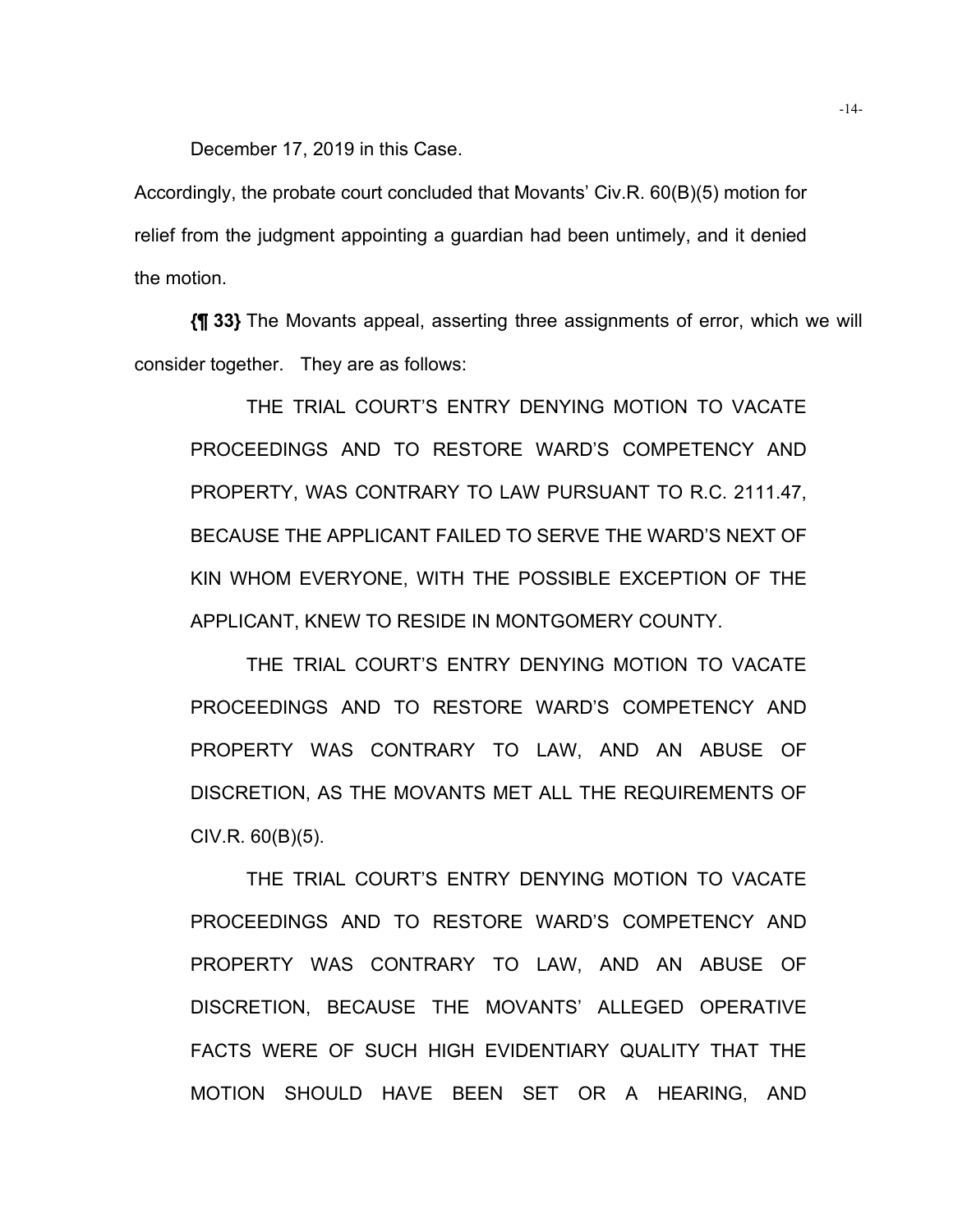December 17, 2019 in this Case.

Accordingly, the probate court concluded that Movants' Civ.R. 60(B)(5) motion for relief from the judgment appointing a guardian had been untimely, and it denied the motion.

**{¶ 33}** The Movants appeal, asserting three assignments of error, which we will consider together. They are as follows:

THE TRIAL COURT'S ENTRY DENYING MOTION TO VACATE PROCEEDINGS AND TO RESTORE WARD'S COMPETENCY AND PROPERTY, WAS CONTRARY TO LAW PURSUANT TO R.C. 2111.47, BECAUSE THE APPLICANT FAILED TO SERVE THE WARD'S NEXT OF KIN WHOM EVERYONE, WITH THE POSSIBLE EXCEPTION OF THE APPLICANT, KNEW TO RESIDE IN MONTGOMERY COUNTY.

THE TRIAL COURT'S ENTRY DENYING MOTION TO VACATE PROCEEDINGS AND TO RESTORE WARD'S COMPETENCY AND PROPERTY WAS CONTRARY TO LAW, AND AN ABUSE OF DISCRETION, AS THE MOVANTS MET ALL THE REQUIREMENTS OF  $CIV.R. 60(B)(5)$ .

 THE TRIAL COURT'S ENTRY DENYING MOTION TO VACATE PROCEEDINGS AND TO RESTORE WARD'S COMPETENCY AND PROPERTY WAS CONTRARY TO LAW, AND AN ABUSE OF DISCRETION, BECAUSE THE MOVANTS' ALLEGED OPERATIVE FACTS WERE OF SUCH HIGH EVIDENTIARY QUALITY THAT THE MOTION SHOULD HAVE BEEN SET OR A HEARING, AND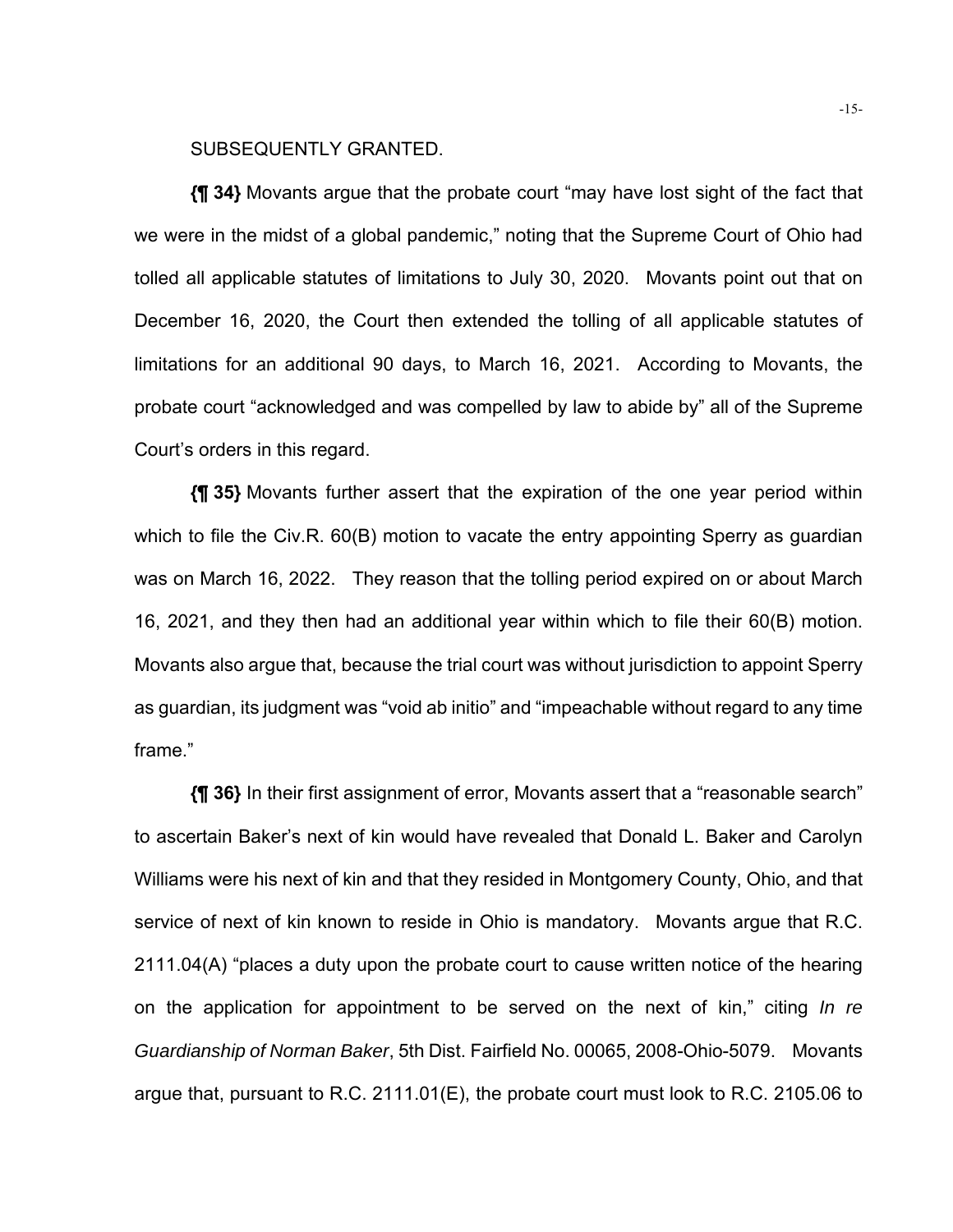## SUBSEQUENTLY GRANTED.

**{¶ 34}** Movants argue that the probate court "may have lost sight of the fact that we were in the midst of a global pandemic," noting that the Supreme Court of Ohio had tolled all applicable statutes of limitations to July 30, 2020. Movants point out that on December 16, 2020, the Court then extended the tolling of all applicable statutes of limitations for an additional 90 days, to March 16, 2021. According to Movants, the probate court "acknowledged and was compelled by law to abide by" all of the Supreme Court's orders in this regard.

**{¶ 35}** Movants further assert that the expiration of the one year period within which to file the Civ.R. 60(B) motion to vacate the entry appointing Sperry as guardian was on March 16, 2022. They reason that the tolling period expired on or about March 16, 2021, and they then had an additional year within which to file their 60(B) motion. Movants also argue that, because the trial court was without jurisdiction to appoint Sperry as guardian, its judgment was "void ab initio" and "impeachable without regard to any time frame."

**{¶ 36}** In their first assignment of error, Movants assert that a "reasonable search" to ascertain Baker's next of kin would have revealed that Donald L. Baker and Carolyn Williams were his next of kin and that they resided in Montgomery County, Ohio, and that service of next of kin known to reside in Ohio is mandatory. Movants argue that R.C. 2111.04(A) "places a duty upon the probate court to cause written notice of the hearing on the application for appointment to be served on the next of kin," citing *In re Guardianship of Norman Baker*, 5th Dist. Fairfield No. 00065, 2008-Ohio-5079. Movants argue that, pursuant to R.C. 2111.01(E), the probate court must look to R.C. 2105.06 to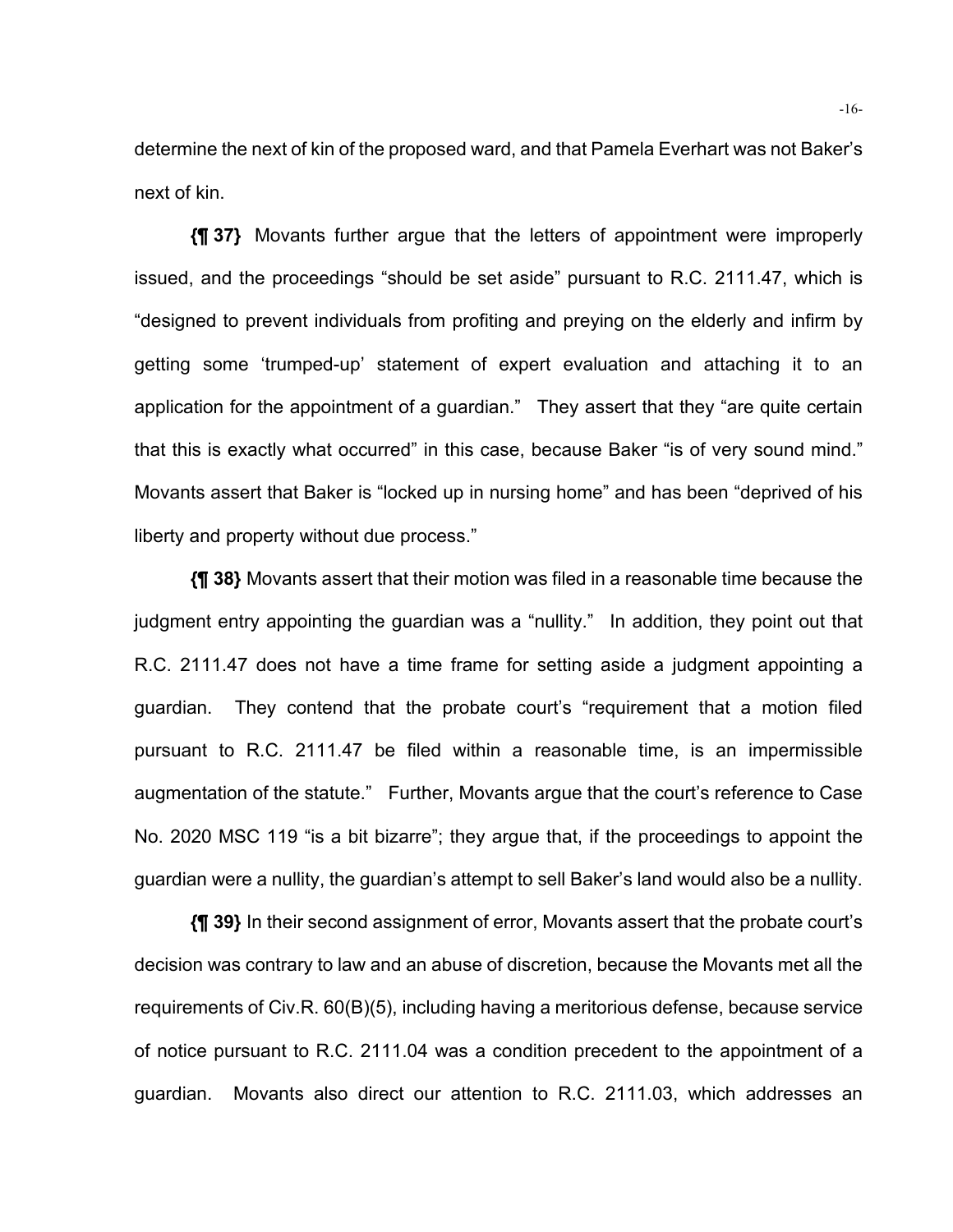determine the next of kin of the proposed ward, and that Pamela Everhart was not Baker's next of kin.

**{¶ 37}** Movants further argue that the letters of appointment were improperly issued, and the proceedings "should be set aside" pursuant to R.C. 2111.47, which is "designed to prevent individuals from profiting and preying on the elderly and infirm by getting some 'trumped-up' statement of expert evaluation and attaching it to an application for the appointment of a guardian." They assert that they "are quite certain that this is exactly what occurred" in this case, because Baker "is of very sound mind." Movants assert that Baker is "locked up in nursing home" and has been "deprived of his liberty and property without due process."

**{¶ 38}** Movants assert that their motion was filed in a reasonable time because the judgment entry appointing the guardian was a "nullity." In addition, they point out that R.C. 2111.47 does not have a time frame for setting aside a judgment appointing a guardian. They contend that the probate court's "requirement that a motion filed pursuant to R.C. 2111.47 be filed within a reasonable time, is an impermissible augmentation of the statute." Further, Movants argue that the court's reference to Case No. 2020 MSC 119 "is a bit bizarre"; they argue that, if the proceedings to appoint the guardian were a nullity, the guardian's attempt to sell Baker's land would also be a nullity.

**{¶ 39}** In their second assignment of error, Movants assert that the probate court's decision was contrary to law and an abuse of discretion, because the Movants met all the requirements of Civ.R. 60(B)(5), including having a meritorious defense, because service of notice pursuant to R.C. 2111.04 was a condition precedent to the appointment of a guardian. Movants also direct our attention to R.C. 2111.03, which addresses an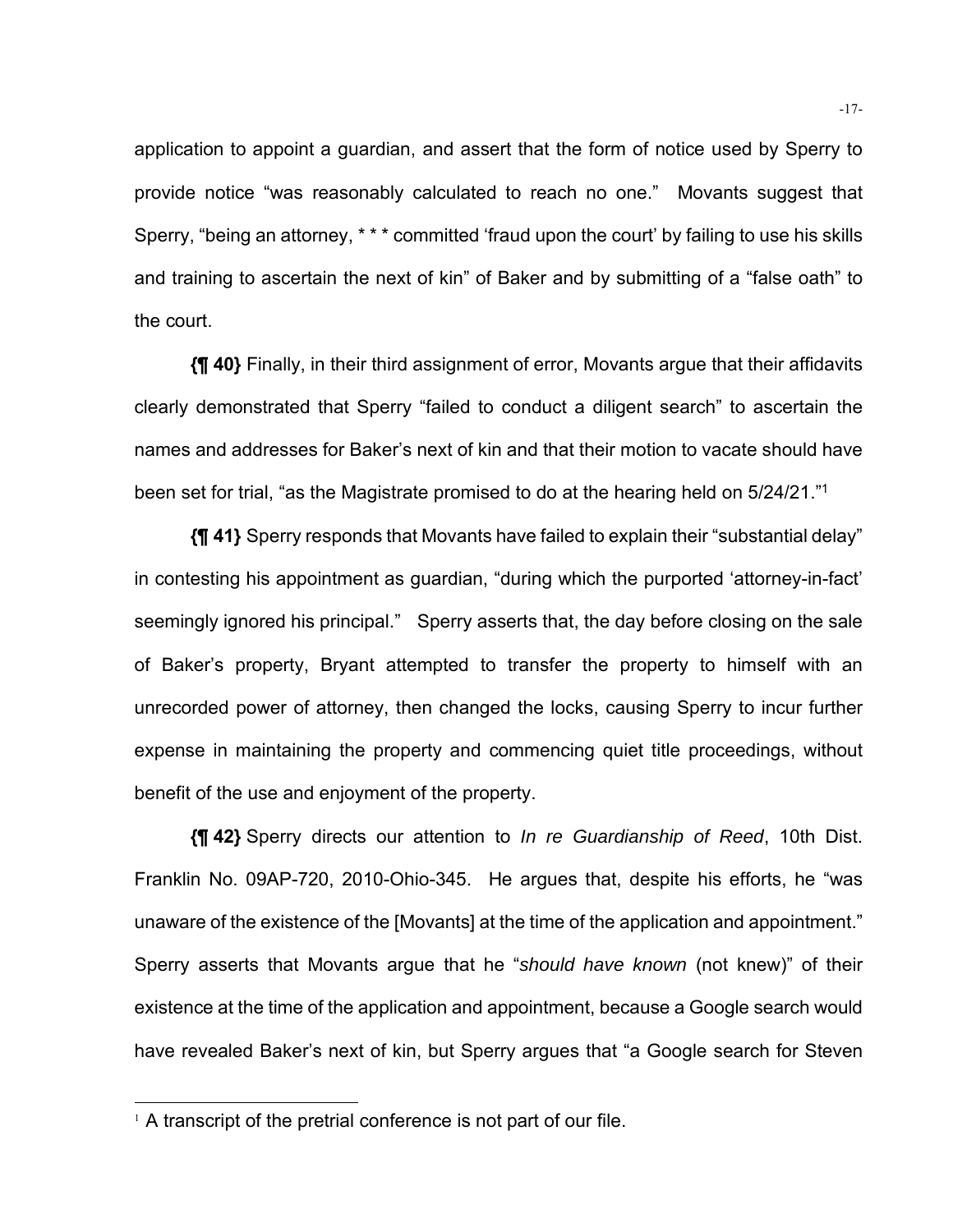application to appoint a guardian, and assert that the form of notice used by Sperry to provide notice "was reasonably calculated to reach no one." Movants suggest that Sperry, "being an attorney, \* \* \* committed 'fraud upon the court' by failing to use his skills and training to ascertain the next of kin" of Baker and by submitting of a "false oath" to the court.

**{¶ 40}** Finally, in their third assignment of error, Movants argue that their affidavits clearly demonstrated that Sperry "failed to conduct a diligent search" to ascertain the names and addresses for Baker's next of kin and that their motion to vacate should have been set for trial, "as the Magistrate promised to do at the hearing held on 5/24/21."1

**{¶ 41}** Sperry responds that Movants have failed to explain their "substantial delay" in contesting his appointment as guardian, "during which the purported 'attorney-in-fact' seemingly ignored his principal." Sperry asserts that, the day before closing on the sale of Baker's property, Bryant attempted to transfer the property to himself with an unrecorded power of attorney, then changed the locks, causing Sperry to incur further expense in maintaining the property and commencing quiet title proceedings, without benefit of the use and enjoyment of the property.

**{¶ 42}** Sperry directs our attention to *In re Guardianship of Reed*, 10th Dist. Franklin No. 09AP-720, 2010-Ohio-345. He argues that, despite his efforts, he "was unaware of the existence of the [Movants] at the time of the application and appointment." Sperry asserts that Movants argue that he "*should have known* (not knew)" of their existence at the time of the application and appointment, because a Google search would have revealed Baker's next of kin, but Sperry argues that "a Google search for Steven

 $1$  A transcript of the pretrial conference is not part of our file.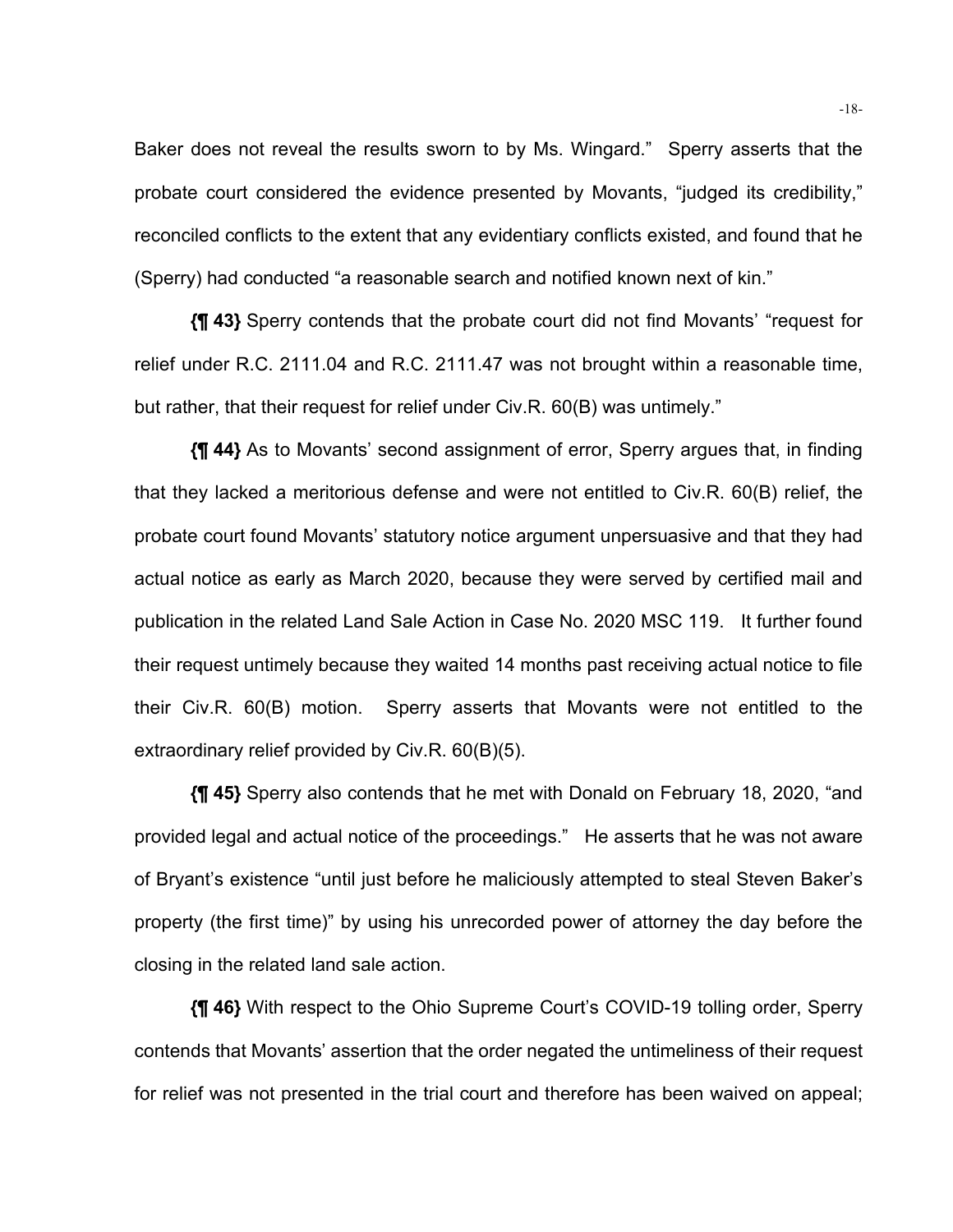Baker does not reveal the results sworn to by Ms. Wingard." Sperry asserts that the probate court considered the evidence presented by Movants, "judged its credibility," reconciled conflicts to the extent that any evidentiary conflicts existed, and found that he (Sperry) had conducted "a reasonable search and notified known next of kin."

**{¶ 43}** Sperry contends that the probate court did not find Movants' "request for relief under R.C. 2111.04 and R.C. 2111.47 was not brought within a reasonable time, but rather, that their request for relief under Civ.R. 60(B) was untimely."

**{¶ 44}** As to Movants' second assignment of error, Sperry argues that, in finding that they lacked a meritorious defense and were not entitled to Civ.R. 60(B) relief, the probate court found Movants' statutory notice argument unpersuasive and that they had actual notice as early as March 2020, because they were served by certified mail and publication in the related Land Sale Action in Case No. 2020 MSC 119. It further found their request untimely because they waited 14 months past receiving actual notice to file their Civ.R. 60(B) motion. Sperry asserts that Movants were not entitled to the extraordinary relief provided by Civ.R. 60(B)(5).

**{¶ 45}** Sperry also contends that he met with Donald on February 18, 2020, "and provided legal and actual notice of the proceedings." He asserts that he was not aware of Bryant's existence "until just before he maliciously attempted to steal Steven Baker's property (the first time)" by using his unrecorded power of attorney the day before the closing in the related land sale action.

**{¶ 46}** With respect to the Ohio Supreme Court's COVID-19 tolling order, Sperry contends that Movants' assertion that the order negated the untimeliness of their request for relief was not presented in the trial court and therefore has been waived on appeal;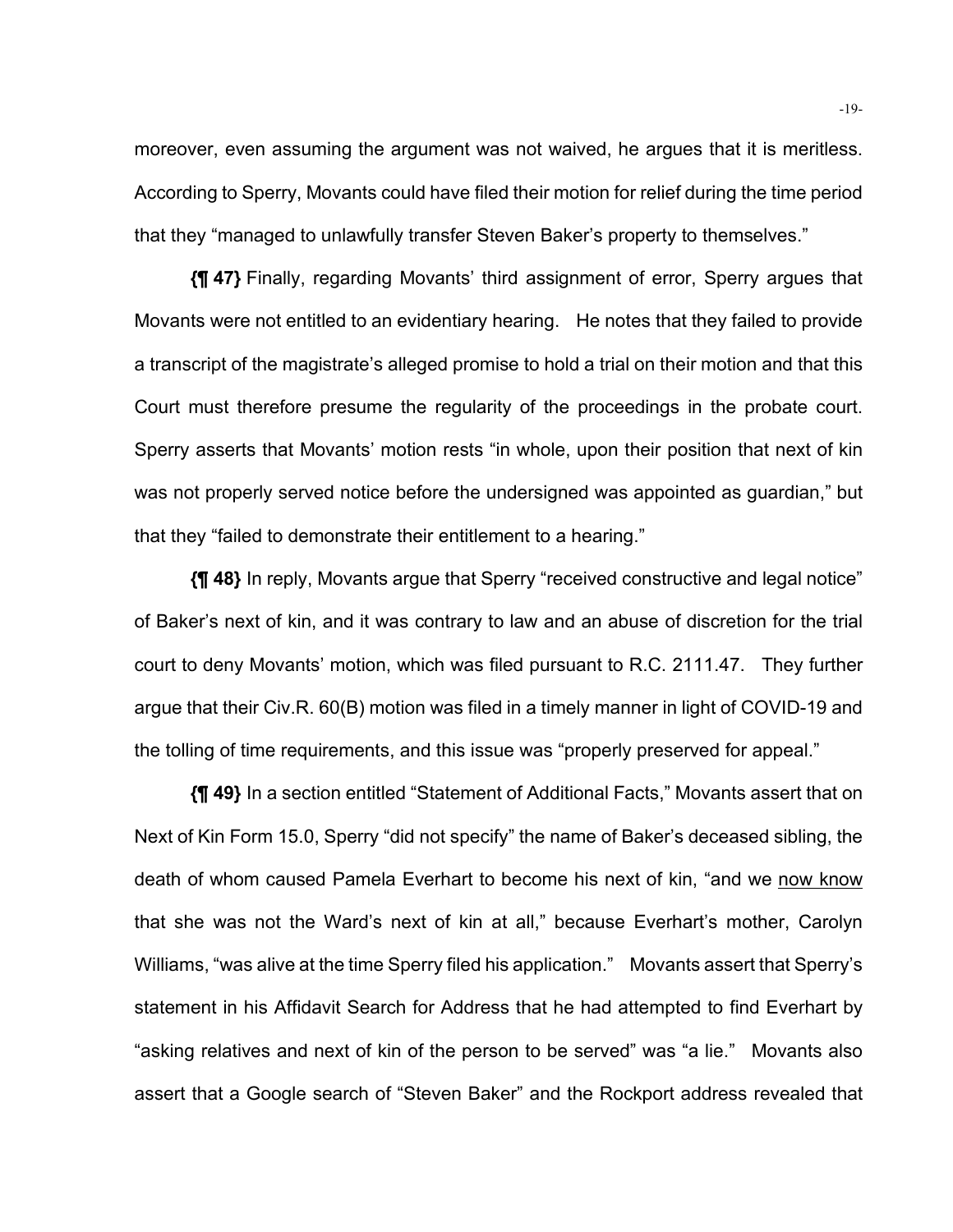moreover, even assuming the argument was not waived, he argues that it is meritless. According to Sperry, Movants could have filed their motion for relief during the time period that they "managed to unlawfully transfer Steven Baker's property to themselves."

**{¶ 47}** Finally, regarding Movants' third assignment of error, Sperry argues that Movants were not entitled to an evidentiary hearing. He notes that they failed to provide a transcript of the magistrate's alleged promise to hold a trial on their motion and that this Court must therefore presume the regularity of the proceedings in the probate court. Sperry asserts that Movants' motion rests "in whole, upon their position that next of kin was not properly served notice before the undersigned was appointed as guardian," but that they "failed to demonstrate their entitlement to a hearing."

**{¶ 48}** In reply, Movants argue that Sperry "received constructive and legal notice" of Baker's next of kin, and it was contrary to law and an abuse of discretion for the trial court to deny Movants' motion, which was filed pursuant to R.C. 2111.47. They further argue that their Civ.R. 60(B) motion was filed in a timely manner in light of COVID-19 and the tolling of time requirements, and this issue was "properly preserved for appeal."

**{¶ 49}** In a section entitled "Statement of Additional Facts," Movants assert that on Next of Kin Form 15.0, Sperry "did not specify" the name of Baker's deceased sibling, the death of whom caused Pamela Everhart to become his next of kin, "and we now know that she was not the Ward's next of kin at all," because Everhart's mother, Carolyn Williams, "was alive at the time Sperry filed his application." Movants assert that Sperry's statement in his Affidavit Search for Address that he had attempted to find Everhart by "asking relatives and next of kin of the person to be served" was "a lie." Movants also assert that a Google search of "Steven Baker" and the Rockport address revealed that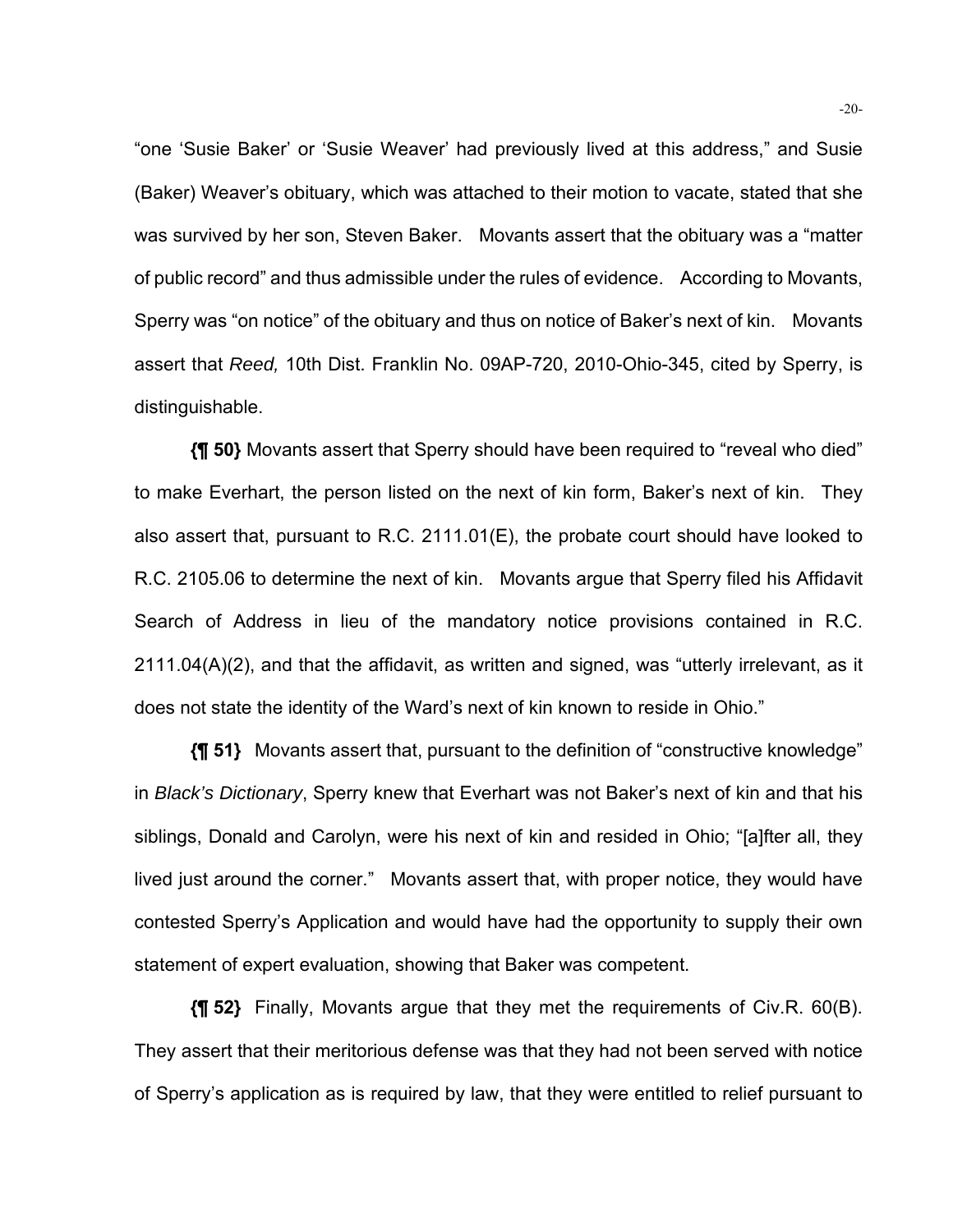"one 'Susie Baker' or 'Susie Weaver' had previously lived at this address," and Susie (Baker) Weaver's obituary, which was attached to their motion to vacate, stated that she was survived by her son, Steven Baker. Movants assert that the obituary was a "matter of public record" and thus admissible under the rules of evidence. According to Movants, Sperry was "on notice" of the obituary and thus on notice of Baker's next of kin. Movants assert that *Reed,* 10th Dist. Franklin No. 09AP-720, 2010-Ohio-345, cited by Sperry, is distinguishable.

**{¶ 50}** Movants assert that Sperry should have been required to "reveal who died" to make Everhart, the person listed on the next of kin form, Baker's next of kin. They also assert that, pursuant to R.C. 2111.01(E), the probate court should have looked to R.C. 2105.06 to determine the next of kin. Movants argue that Sperry filed his Affidavit Search of Address in lieu of the mandatory notice provisions contained in R.C. 2111.04(A)(2), and that the affidavit, as written and signed, was "utterly irrelevant, as it does not state the identity of the Ward's next of kin known to reside in Ohio."

**{¶ 51}** Movants assert that, pursuant to the definition of "constructive knowledge" in *Black's Dictionary*, Sperry knew that Everhart was not Baker's next of kin and that his siblings, Donald and Carolyn, were his next of kin and resided in Ohio; "[a]fter all, they lived just around the corner." Movants assert that, with proper notice, they would have contested Sperry's Application and would have had the opportunity to supply their own statement of expert evaluation, showing that Baker was competent.

**{¶ 52}** Finally, Movants argue that they met the requirements of Civ.R. 60(B). They assert that their meritorious defense was that they had not been served with notice of Sperry's application as is required by law, that they were entitled to relief pursuant to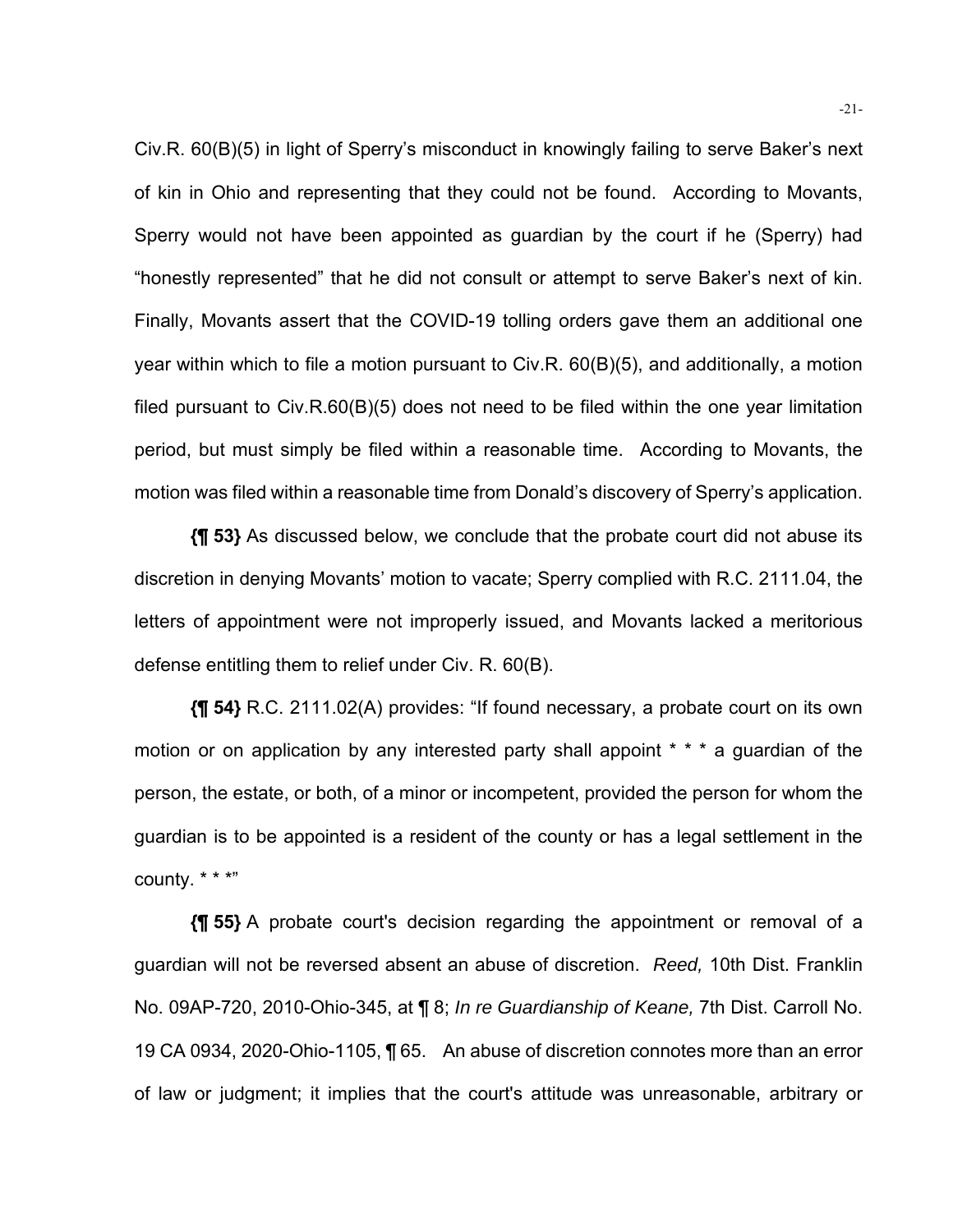Civ.R. 60(B)(5) in light of Sperry's misconduct in knowingly failing to serve Baker's next of kin in Ohio and representing that they could not be found. According to Movants, Sperry would not have been appointed as guardian by the court if he (Sperry) had "honestly represented" that he did not consult or attempt to serve Baker's next of kin. Finally, Movants assert that the COVID-19 tolling orders gave them an additional one year within which to file a motion pursuant to Civ.R. 60(B)(5), and additionally, a motion filed pursuant to Civ.R.60(B)(5) does not need to be filed within the one year limitation period, but must simply be filed within a reasonable time. According to Movants, the motion was filed within a reasonable time from Donald's discovery of Sperry's application.

**{¶ 53}** As discussed below, we conclude that the probate court did not abuse its discretion in denying Movants' motion to vacate; Sperry complied with R.C. 2111.04, the letters of appointment were not improperly issued, and Movants lacked a meritorious defense entitling them to relief under Civ. R. 60(B).

**{¶ 54}** R.C. 2111.02(A) provides: "If found necessary, a probate court on its own motion or on application by any interested party shall appoint \* \* \* a guardian of the person, the estate, or both, of a minor or incompetent, provided the person for whom the guardian is to be appointed is a resident of the county or has a legal settlement in the county. \* \* \*"

**{¶ 55}** A probate court's decision regarding the appointment or removal of a guardian will not be reversed absent an abuse of discretion. *Reed,* 10th Dist. Franklin No. 09AP-720, 2010-Ohio-345, at ¶ 8; *In re Guardianship of Keane,* 7th Dist. Carroll No. 19 CA 0934, 2020-Ohio-1105, ¶ 65. An abuse of discretion connotes more than an error of law or judgment; it implies that the court's attitude was unreasonable, arbitrary or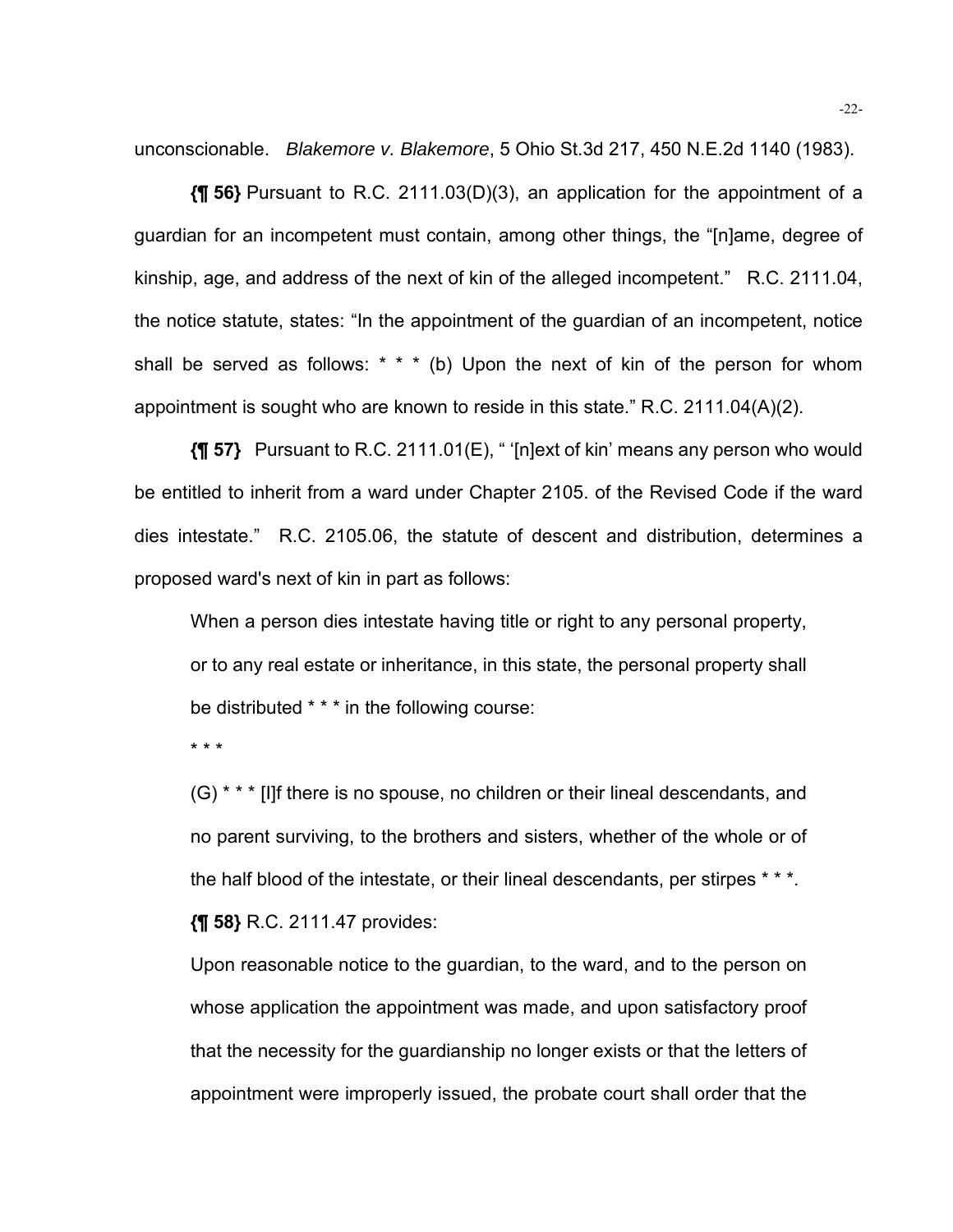unconscionable. *Blakemore v. Blakemore*, 5 Ohio St.3d 217, 450 N.E.2d 1140 (1983).

**{¶ 56}** Pursuant to R.C. 2111.03(D)(3), an application for the appointment of a guardian for an incompetent must contain, among other things, the "[n]ame, degree of kinship, age, and address of the next of kin of the alleged incompetent." R.C. 2111.04, the notice statute, states: "In the appointment of the guardian of an incompetent, notice shall be served as follows:  $* * * (b)$  Upon the next of kin of the person for whom appointment is sought who are known to reside in this state." R.C. 2111.04(A)(2).

**{¶ 57}** Pursuant to R.C. 2111.01(E), " '[n]ext of kin' means any person who would be entitled to inherit from a ward under Chapter 2105. of the Revised Code if the ward dies intestate." R.C. 2105.06, the statute of descent and distribution, determines a proposed ward's next of kin in part as follows:

When a person dies intestate having title or right to any personal property, or to any real estate or inheritance, in this state, the personal property shall be distributed \* \* \* in the following course:

\* \* \*

(G) \* \* \* [I]f there is no spouse, no children or their lineal descendants, and no parent surviving, to the brothers and sisters, whether of the whole or of the half blood of the intestate, or their lineal descendants, per stirpes \* \* \*.

**{¶ 58}** R.C. 2111.47 provides:

Upon reasonable notice to the guardian, to the ward, and to the person on whose application the appointment was made, and upon satisfactory proof that the necessity for the guardianship no longer exists or that the letters of appointment were improperly issued, the probate court shall order that the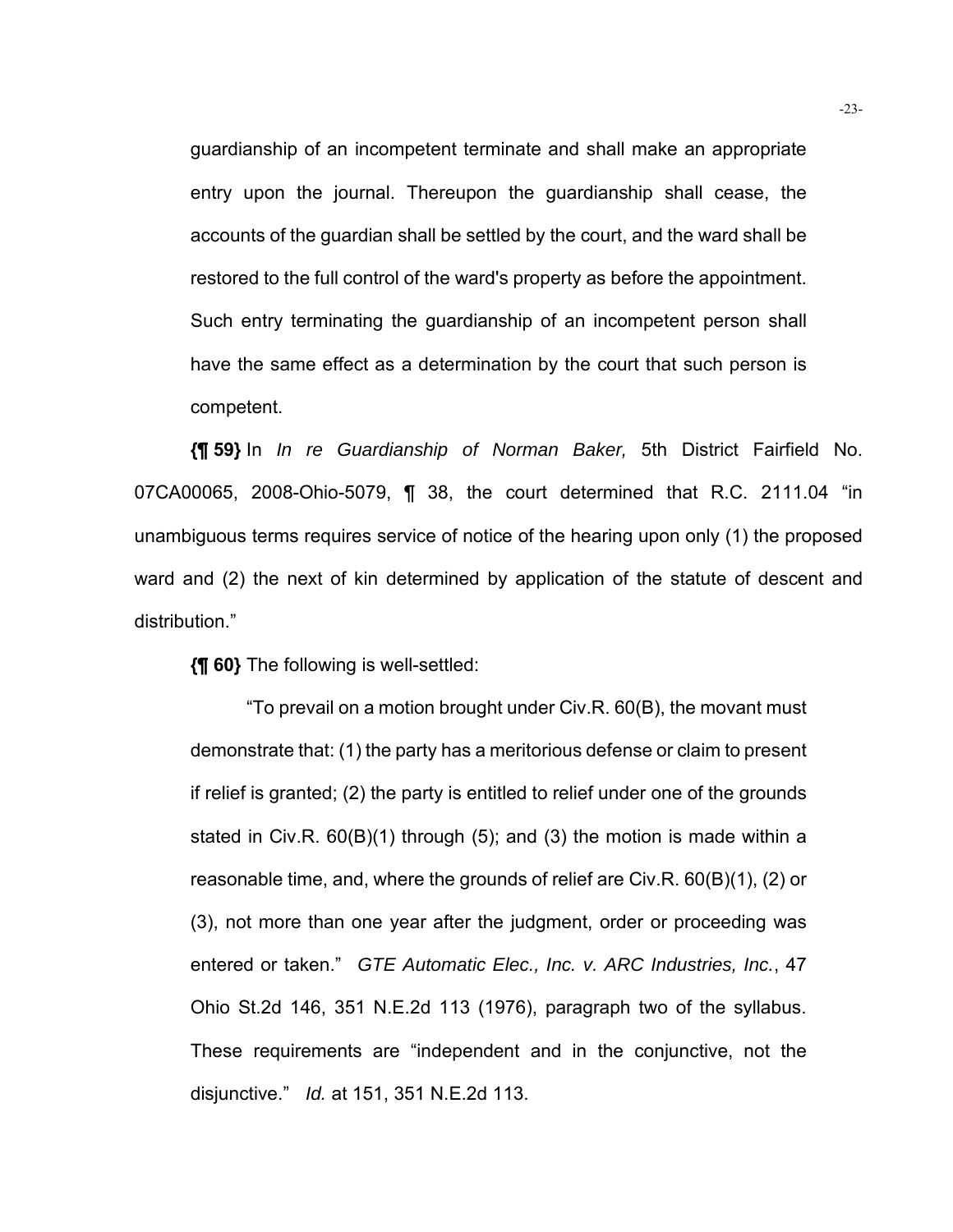guardianship of an incompetent terminate and shall make an appropriate entry upon the journal. Thereupon the guardianship shall cease, the accounts of the guardian shall be settled by the court, and the ward shall be restored to the full control of the ward's property as before the appointment. Such entry terminating the guardianship of an incompetent person shall have the same effect as a determination by the court that such person is competent.

**{¶ 59}** In *In re Guardianship of Norman Baker,* 5th District Fairfield No. 07CA00065, 2008-Ohio-5079, ¶ 38, the court determined that R.C. 2111.04 "in unambiguous terms requires service of notice of the hearing upon only (1) the proposed ward and (2) the next of kin determined by application of the statute of descent and distribution."

**{¶ 60}** The following is well-settled:

 "To prevail on a motion brought under Civ.R. 60(B), the movant must demonstrate that: (1) the party has a meritorious defense or claim to present if relief is granted; (2) the party is entitled to relief under one of the grounds stated in Civ.R. 60(B)(1) through (5); and (3) the motion is made within a reasonable time, and, where the grounds of relief are Civ.R. 60(B)(1), (2) or (3), not more than one year after the judgment, order or proceeding was entered or taken." *GTE Automatic Elec., Inc. v. ARC Industries, Inc.*, 47 Ohio St.2d 146, 351 N.E.2d 113 (1976), paragraph two of the syllabus. These requirements are "independent and in the conjunctive, not the disjunctive." *Id.* at 151, 351 N.E.2d 113.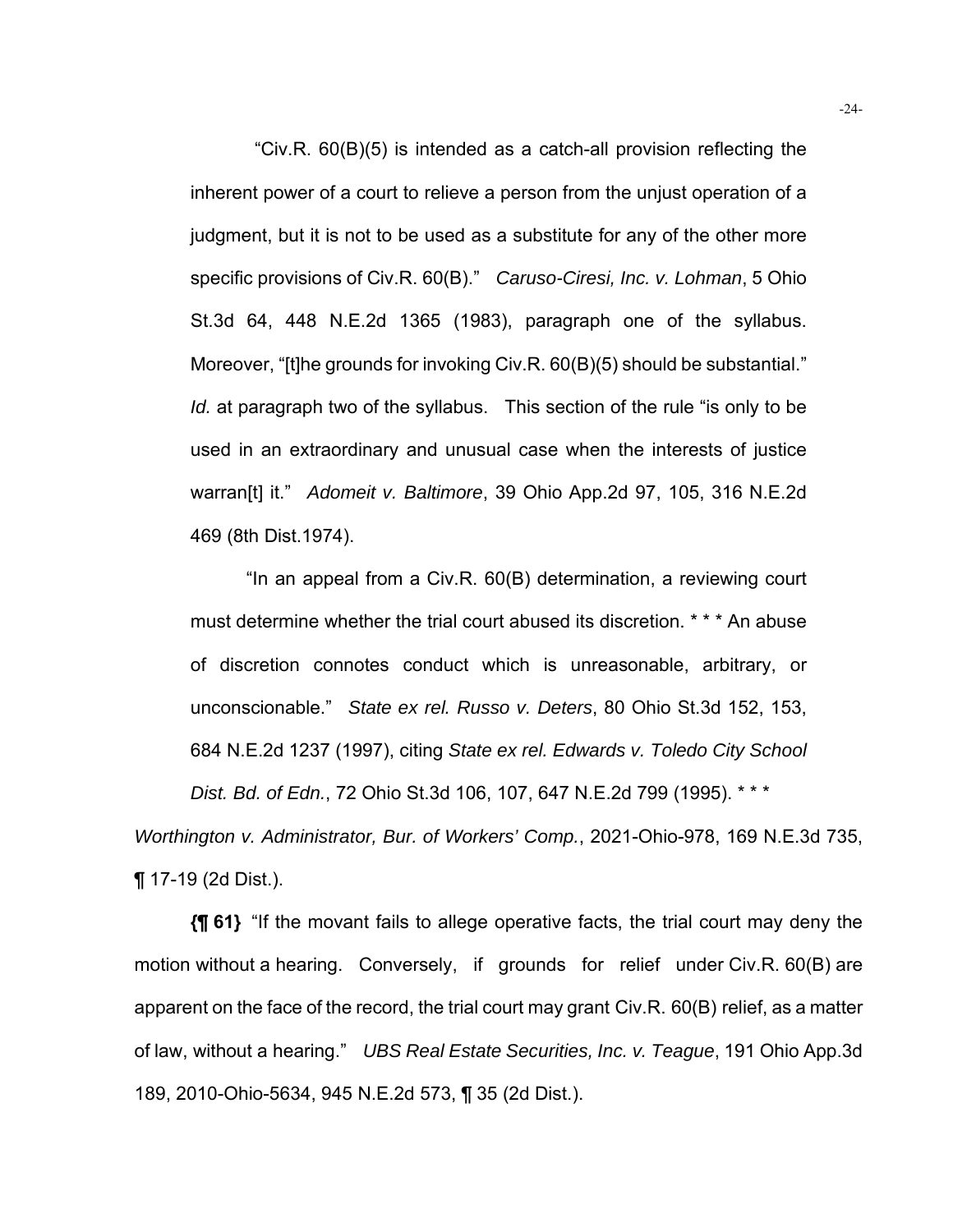"Civ.R. 60(B)(5) is intended as a catch-all provision reflecting the inherent power of a court to relieve a person from the unjust operation of a judgment, but it is not to be used as a substitute for any of the other more specific provisions of Civ.R. 60(B)." *Caruso-Ciresi, Inc. v. Lohman*, 5 Ohio St.3d 64, 448 N.E.2d 1365 (1983), paragraph one of the syllabus. Moreover, "[t]he grounds for invoking Civ.R. 60(B)(5) should be substantial." *Id.* at paragraph two of the syllabus. This section of the rule "is only to be used in an extraordinary and unusual case when the interests of justice warran[t] it." *Adomeit v. Baltimore*, 39 Ohio App.2d 97, 105, 316 N.E.2d 469 (8th Dist.1974).

"In an appeal from a Civ.R. 60(B) determination, a reviewing court must determine whether the trial court abused its discretion. \* \* \* An abuse of discretion connotes conduct which is unreasonable, arbitrary, or unconscionable." *State ex rel. Russo v. Deters*, 80 Ohio St.3d 152, 153, 684 N.E.2d 1237 (1997), citing *State ex rel. Edwards v. Toledo City School Dist. Bd. of Edn.*, 72 Ohio St.3d 106, 107, 647 N.E.2d 799 (1995). \* \* \*

*Worthington v. Administrator, Bur. of Workers' Comp.*, 2021-Ohio-978, 169 N.E.3d 735, ¶ 17-19 (2d Dist.).

**{¶ 61}** "If the movant fails to allege operative facts, the trial court may deny the motion without a hearing. Conversely, if grounds for relief under Civ.R. 60(B) are apparent on the face of the record, the trial court may grant Civ.R. 60(B) relief, as a matter of law, without a hearing." *UBS Real Estate Securities, Inc. v. Teague*, 191 Ohio App.3d 189, 2010-Ohio-5634, 945 N.E.2d 573, ¶ 35 (2d Dist.).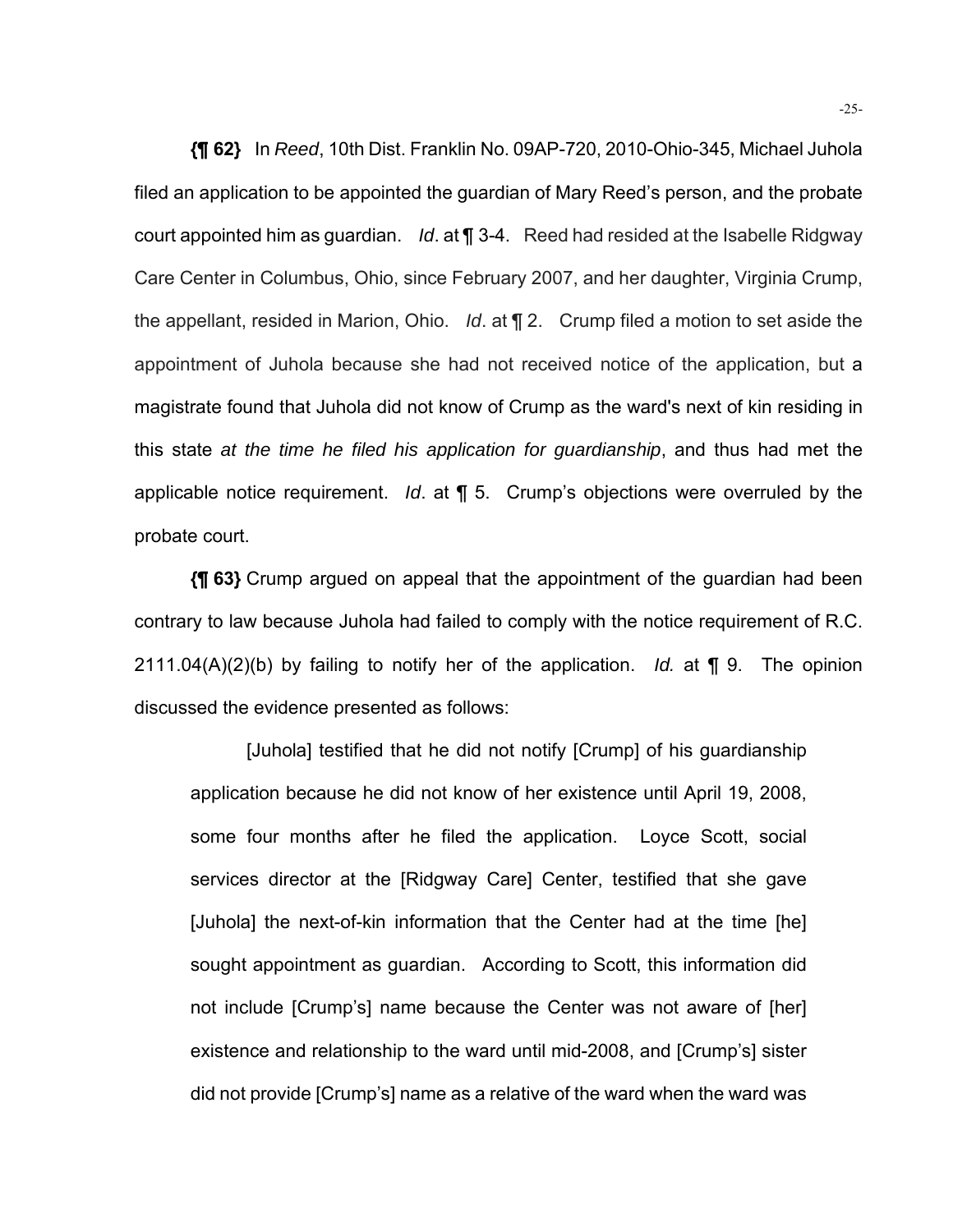**{¶ 62}** In *Reed*, 10th Dist. Franklin No. 09AP-720, 2010-Ohio-345, Michael Juhola filed an application to be appointed the guardian of Mary Reed's person, and the probate court appointed him as guardian. *Id*. at ¶ 3-4. Reed had resided at the Isabelle Ridgway Care Center in Columbus, Ohio, since February 2007, and her daughter, Virginia Crump, the appellant, resided in Marion, Ohio. *Id*. at ¶ 2. Crump filed a motion to set aside the appointment of Juhola because she had not received notice of the application, but a magistrate found that Juhola did not know of Crump as the ward's next of kin residing in this state *at the time he filed his application for guardianship*, and thus had met the applicable notice requirement. *Id*. at ¶ 5. Crump's objections were overruled by the probate court.

**{¶ 63}** Crump argued on appeal that the appointment of the guardian had been contrary to law because Juhola had failed to comply with the notice requirement of R.C. 2111.04(A)(2)(b) by failing to notify her of the application. *Id.* at ¶ 9. The opinion discussed the evidence presented as follows:

 [Juhola] testified that he did not notify [Crump] of his guardianship application because he did not know of her existence until April 19, 2008, some four months after he filed the application. Loyce Scott, social services director at the [Ridgway Care] Center, testified that she gave [Juhola] the next-of-kin information that the Center had at the time [he] sought appointment as guardian. According to Scott, this information did not include [Crump's] name because the Center was not aware of [her] existence and relationship to the ward until mid-2008, and [Crump's] sister did not provide [Crump's] name as a relative of the ward when the ward was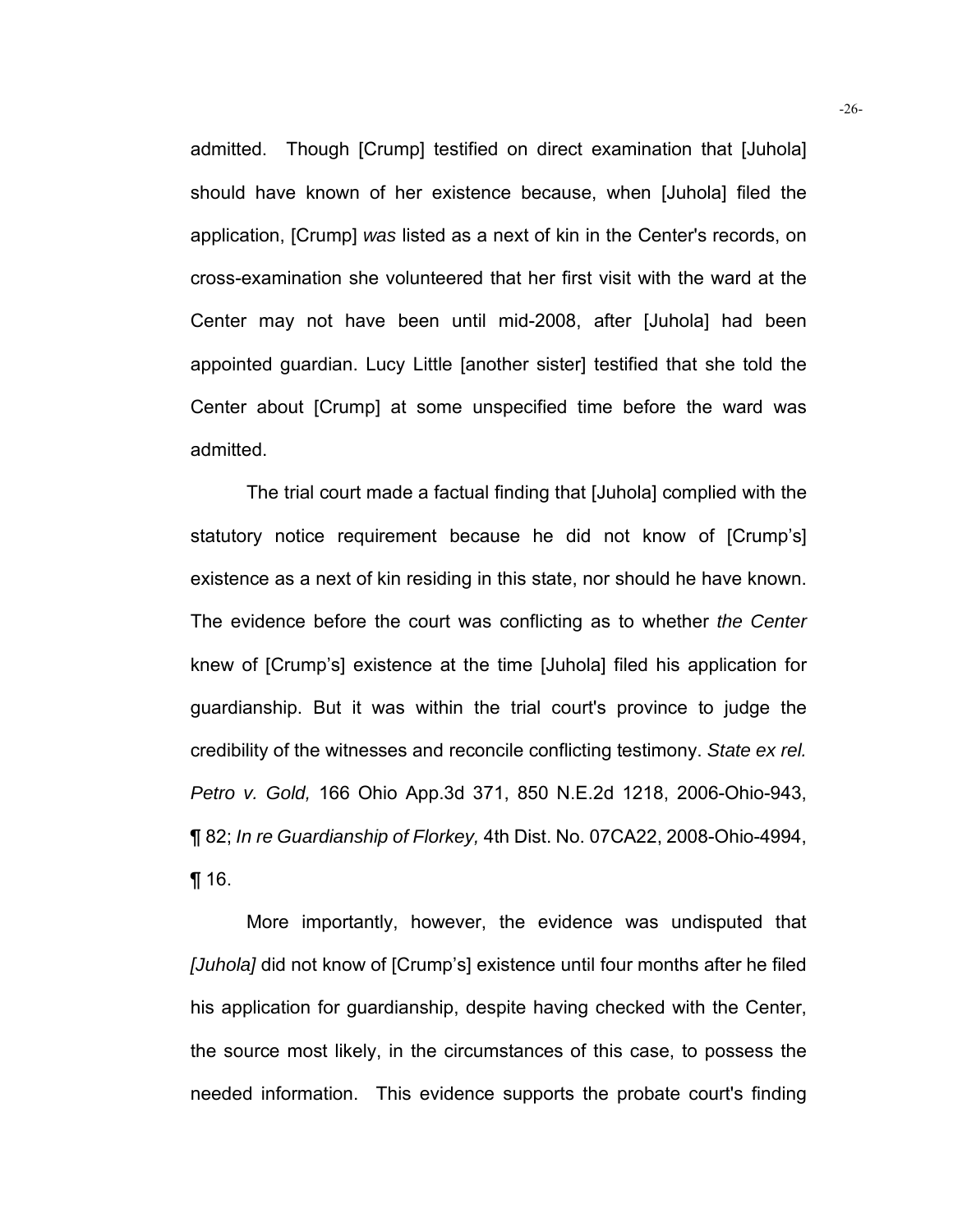admitted. Though [Crump] testified on direct examination that [Juhola] should have known of her existence because, when [Juhola] filed the application, [Crump] *was* listed as a next of kin in the Center's records, on cross-examination she volunteered that her first visit with the ward at the Center may not have been until mid-2008, after [Juhola] had been appointed guardian. Lucy Little [another sister] testified that she told the Center about [Crump] at some unspecified time before the ward was admitted.

 The trial court made a factual finding that [Juhola] complied with the statutory notice requirement because he did not know of [Crump's] existence as a next of kin residing in this state, nor should he have known. The evidence before the court was conflicting as to whether *the Center* knew of [Crump's] existence at the time [Juhola] filed his application for guardianship. But it was within the trial court's province to judge the credibility of the witnesses and reconcile conflicting testimony. *State ex rel. Petro v. Gold,* 166 Ohio App.3d 371, 850 N.E.2d 1218, 2006-Ohio-943, ¶ 82; *In re Guardianship of Florkey,* 4th Dist. No. 07CA22, 2008-Ohio-4994, ¶ 16.

 More importantly, however, the evidence was undisputed that *[Juhola]* did not know of [Crump's] existence until four months after he filed his application for guardianship, despite having checked with the Center, the source most likely, in the circumstances of this case, to possess the needed information. This evidence supports the probate court's finding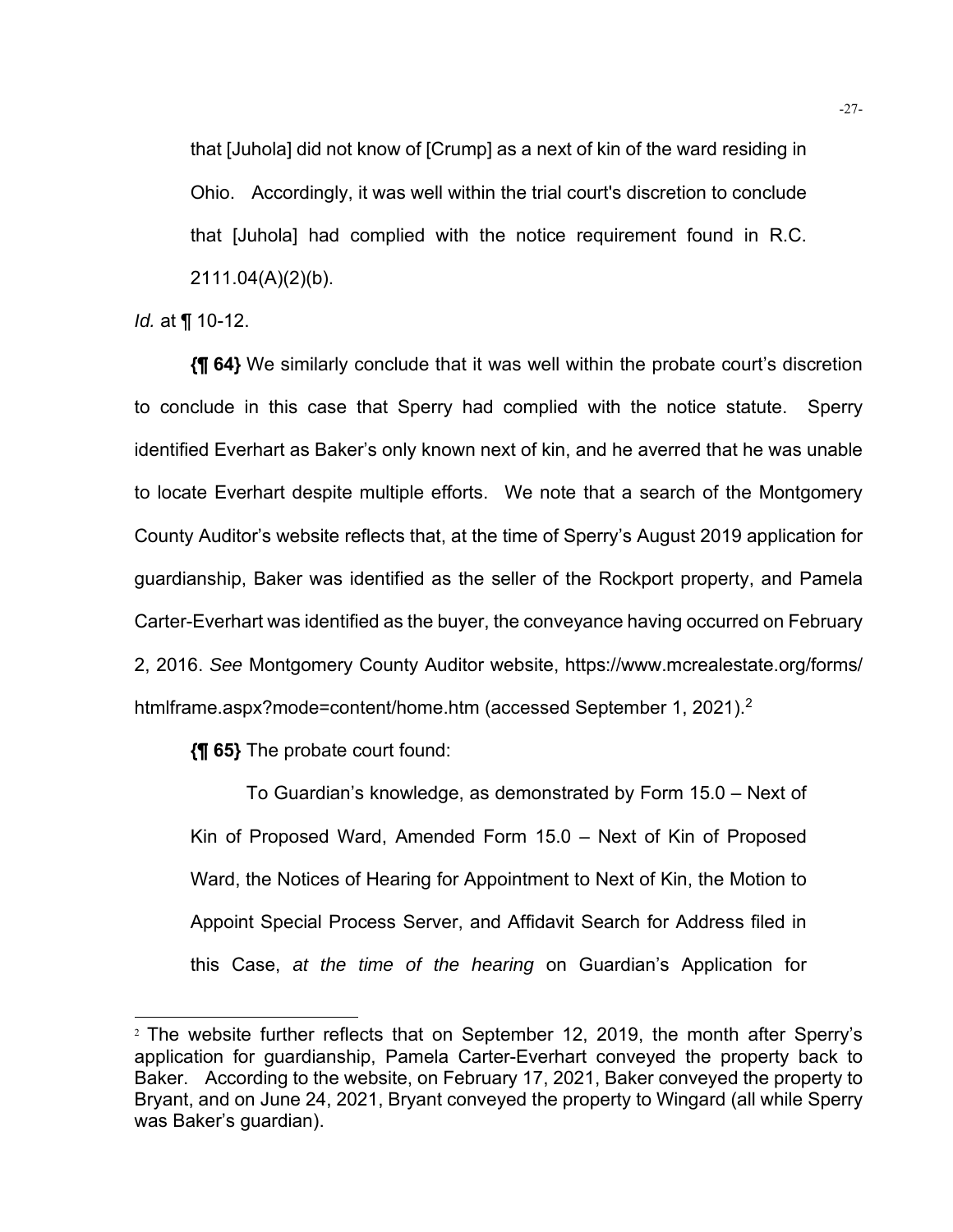that [Juhola] did not know of [Crump] as a next of kin of the ward residing in Ohio. Accordingly, it was well within the trial court's discretion to conclude that [Juhola] had complied with the notice requirement found in R.C. 2111.04(A)(2)(b).

*Id.* at ¶ 10-12.

**{¶ 64}** We similarly conclude that it was well within the probate court's discretion to conclude in this case that Sperry had complied with the notice statute. Sperry identified Everhart as Baker's only known next of kin, and he averred that he was unable to locate Everhart despite multiple efforts. We note that a search of the Montgomery County Auditor's website reflects that, at the time of Sperry's August 2019 application for guardianship, Baker was identified as the seller of the Rockport property, and Pamela Carter-Everhart was identified as the buyer, the conveyance having occurred on February 2, 2016. *See* Montgomery County Auditor website, https://www.mcrealestate.org/forms/ htmlframe.aspx?mode=content/home.htm (accessed September 1, 2021).<sup>2</sup>

**{¶ 65}** The probate court found:

To Guardian's knowledge, as demonstrated by Form 15.0 – Next of Kin of Proposed Ward, Amended Form 15.0 – Next of Kin of Proposed Ward, the Notices of Hearing for Appointment to Next of Kin, the Motion to Appoint Special Process Server, and Affidavit Search for Address filed in this Case, *at the time of the hearing* on Guardian's Application for

<sup>2</sup> The website further reflects that on September 12, 2019, the month after Sperry's application for guardianship, Pamela Carter-Everhart conveyed the property back to Baker. According to the website, on February 17, 2021, Baker conveyed the property to Bryant, and on June 24, 2021, Bryant conveyed the property to Wingard (all while Sperry was Baker's guardian).